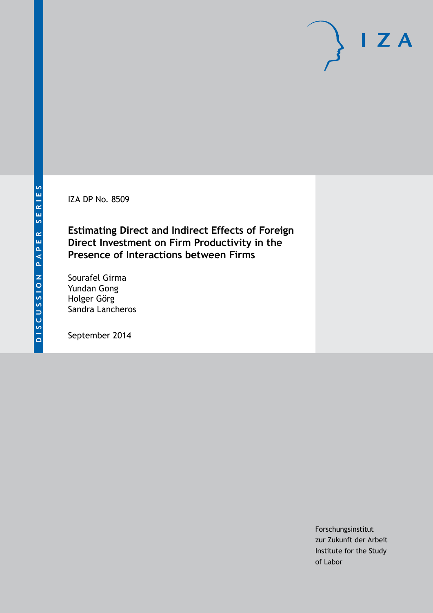IZA DP No. 8509

**Estimating Direct and Indirect Effects of Foreign Direct Investment on Firm Productivity in the Presence of Interactions between Firms**

Sourafel Girma Yundan Gong Holger Görg Sandra Lancheros

September 2014

Forschungsinstitut zur Zukunft der Arbeit Institute for the Study of Labor

 $I Z A$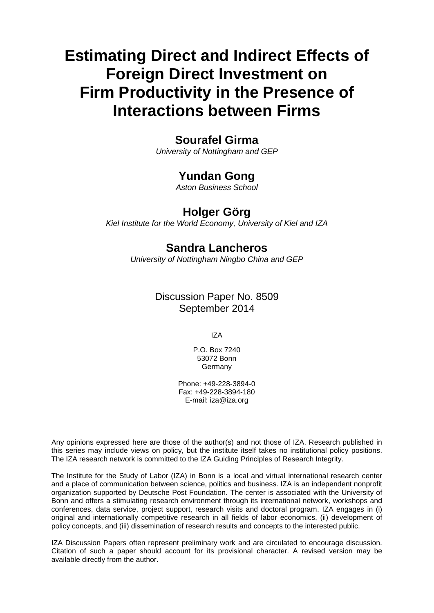# **Estimating Direct and Indirect Effects of Foreign Direct Investment on Firm Productivity in the Presence of Interactions between Firms**

# **Sourafel Girma**

*University of Nottingham and GEP*

# **Yundan Gong**

*Aston Business School*

# **Holger Görg**

*Kiel Institute for the World Economy, University of Kiel and IZA*

# **Sandra Lancheros**

*University of Nottingham Ningbo China and GEP*

Discussion Paper No. 8509 September 2014

IZA

P.O. Box 7240 53072 Bonn Germany

Phone: +49-228-3894-0 Fax: +49-228-3894-180 E-mail: [iza@iza.org](mailto:iza@iza.org)

Any opinions expressed here are those of the author(s) and not those of IZA. Research published in this series may include views on policy, but the institute itself takes no institutional policy positions. The IZA research network is committed to the IZA Guiding Principles of Research Integrity.

The Institute for the Study of Labor (IZA) in Bonn is a local and virtual international research center and a place of communication between science, politics and business. IZA is an independent nonprofit organization supported by Deutsche Post Foundation. The center is associated with the University of Bonn and offers a stimulating research environment through its international network, workshops and conferences, data service, project support, research visits and doctoral program. IZA engages in (i) original and internationally competitive research in all fields of labor economics, (ii) development of policy concepts, and (iii) dissemination of research results and concepts to the interested public.

IZA Discussion Papers often represent preliminary work and are circulated to encourage discussion. Citation of such a paper should account for its provisional character. A revised version may be available directly from the author.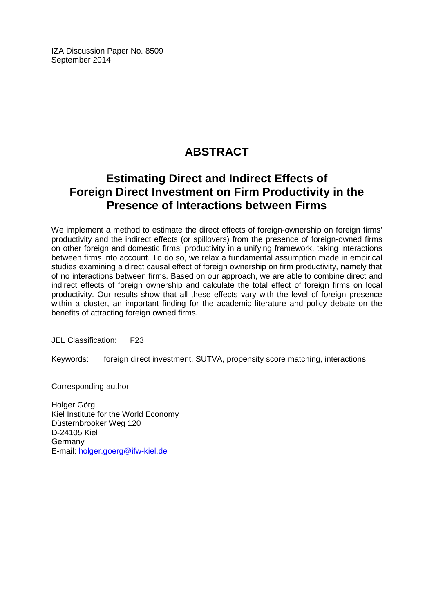IZA Discussion Paper No. 8509 September 2014

# **ABSTRACT**

# **Estimating Direct and Indirect Effects of Foreign Direct Investment on Firm Productivity in the Presence of Interactions between Firms**

We implement a method to estimate the direct effects of foreign-ownership on foreign firms' productivity and the indirect effects (or spillovers) from the presence of foreign-owned firms on other foreign and domestic firms' productivity in a unifying framework, taking interactions between firms into account. To do so, we relax a fundamental assumption made in empirical studies examining a direct causal effect of foreign ownership on firm productivity, namely that of no interactions between firms. Based on our approach, we are able to combine direct and indirect effects of foreign ownership and calculate the total effect of foreign firms on local productivity. Our results show that all these effects vary with the level of foreign presence within a cluster, an important finding for the academic literature and policy debate on the benefits of attracting foreign owned firms.

JEL Classification: F23

Keywords: foreign direct investment, SUTVA, propensity score matching, interactions

Corresponding author:

Holger Görg Kiel Institute for the World Economy Düsternbrooker Weg 120 D-24105 Kiel Germany E-mail: [holger.goerg@ifw-kiel.de](mailto:holger.goerg@ifw-kiel.de)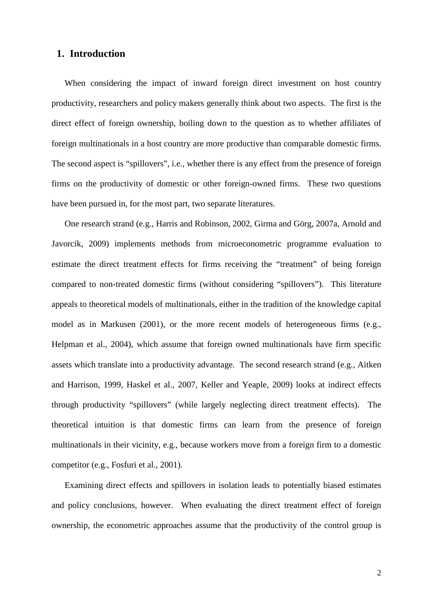### **1. Introduction**

When considering the impact of inward foreign direct investment on host country productivity, researchers and policy makers generally think about two aspects. The first is the direct effect of foreign ownership, boiling down to the question as to whether affiliates of foreign multinationals in a host country are more productive than comparable domestic firms. The second aspect is "spillovers", i.e., whether there is any effect from the presence of foreign firms on the productivity of domestic or other foreign-owned firms. These two questions have been pursued in, for the most part, two separate literatures.

One research strand (e.g., Harris and Robinson, 2002, Girma and Görg, 2007a, Arnold and Javorcik, 2009) implements methods from microeconometric programme evaluation to estimate the direct treatment effects for firms receiving the "treatment" of being foreign compared to non-treated domestic firms (without considering "spillovers"). This literature appeals to theoretical models of multinationals, either in the tradition of the knowledge capital model as in Markusen (2001), or the more recent models of heterogeneous firms (e.g., Helpman et al., 2004), which assume that foreign owned multinationals have firm specific assets which translate into a productivity advantage. The second research strand (e.g., Aitken and Harrison, 1999, Haskel et al., 2007, Keller and Yeaple, 2009) looks at indirect effects through productivity "spillovers" (while largely neglecting direct treatment effects). The theoretical intuition is that domestic firms can learn from the presence of foreign multinationals in their vicinity, e.g., because workers move from a foreign firm to a domestic competitor (e.g., Fosfuri et al., 2001).

Examining direct effects and spillovers in isolation leads to potentially biased estimates and policy conclusions, however. When evaluating the direct treatment effect of foreign ownership, the econometric approaches assume that the productivity of the control group is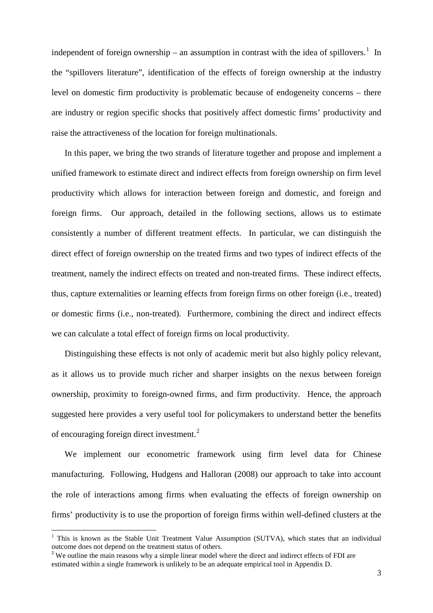independent of foreign ownership – an assumption in contrast with the idea of spillovers.<sup>1</sup> In the "spillovers literature", identification of the effects of foreign ownership at the industry level on domestic firm productivity is problematic because of endogeneity concerns – there are industry or region specific shocks that positively affect domestic firms' productivity and raise the attractiveness of the location for foreign multinationals.

In this paper, we bring the two strands of literature together and propose and implement a unified framework to estimate direct and indirect effects from foreign ownership on firm level productivity which allows for interaction between foreign and domestic, and foreign and foreign firms. Our approach, detailed in the following sections, allows us to estimate consistently a number of different treatment effects. In particular, we can distinguish the direct effect of foreign ownership on the treated firms and two types of indirect effects of the treatment, namely the indirect effects on treated and non-treated firms. These indirect effects, thus, capture externalities or learning effects from foreign firms on other foreign (i.e., treated) or domestic firms (i.e., non-treated). Furthermore, combining the direct and indirect effects we can calculate a total effect of foreign firms on local productivity.

Distinguishing these effects is not only of academic merit but also highly policy relevant, as it allows us to provide much richer and sharper insights on the nexus between foreign ownership, proximity to foreign-owned firms, and firm productivity. Hence, the approach suggested here provides a very useful tool for policymakers to understand better the benefits of encouraging foreign direct investment.<sup>[2](#page-4-0)</sup>

We implement our econometric framework using firm level data for Chinese manufacturing. Following, Hudgens and Halloran (2008) our approach to take into account the role of interactions among firms when evaluating the effects of foreign ownership on firms' productivity is to use the proportion of foreign firms within well-defined clusters at the

<sup>&</sup>lt;sup>1</sup> This is known as the Stable Unit Treatment Value Assumption (SUTVA), which states that an individual outcome does not depend on the treatment status of others.

<span id="page-4-0"></span><sup>&</sup>lt;sup>2</sup> We outline the main reasons why a simple linear model where the direct and indirect effects of FDI are estimated within a single framework is unlikely to be an adequate empirical tool in Appendix D.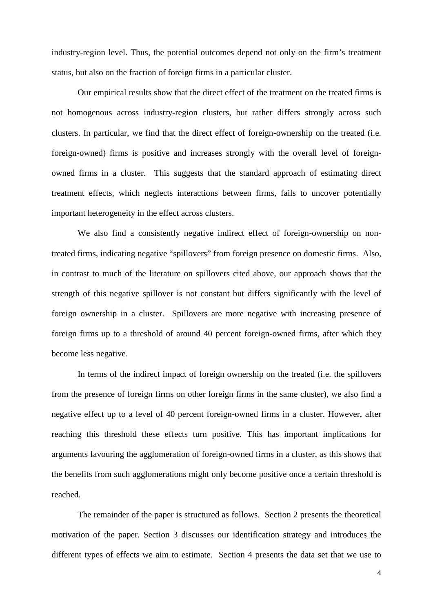industry-region level. Thus, the potential outcomes depend not only on the firm's treatment status, but also on the fraction of foreign firms in a particular cluster.

Our empirical results show that the direct effect of the treatment on the treated firms is not homogenous across industry-region clusters, but rather differs strongly across such clusters. In particular, we find that the direct effect of foreign-ownership on the treated (i.e. foreign-owned) firms is positive and increases strongly with the overall level of foreignowned firms in a cluster. This suggests that the standard approach of estimating direct treatment effects, which neglects interactions between firms, fails to uncover potentially important heterogeneity in the effect across clusters.

We also find a consistently negative indirect effect of foreign-ownership on nontreated firms, indicating negative "spillovers" from foreign presence on domestic firms. Also, in contrast to much of the literature on spillovers cited above, our approach shows that the strength of this negative spillover is not constant but differs significantly with the level of foreign ownership in a cluster. Spillovers are more negative with increasing presence of foreign firms up to a threshold of around 40 percent foreign-owned firms, after which they become less negative.

In terms of the indirect impact of foreign ownership on the treated (i.e. the spillovers from the presence of foreign firms on other foreign firms in the same cluster), we also find a negative effect up to a level of 40 percent foreign-owned firms in a cluster. However, after reaching this threshold these effects turn positive. This has important implications for arguments favouring the agglomeration of foreign-owned firms in a cluster, as this shows that the benefits from such agglomerations might only become positive once a certain threshold is reached.

The remainder of the paper is structured as follows. Section 2 presents the theoretical motivation of the paper. Section 3 discusses our identification strategy and introduces the different types of effects we aim to estimate. Section 4 presents the data set that we use to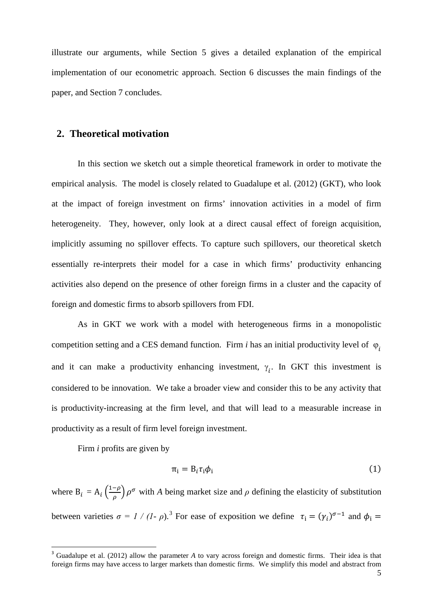illustrate our arguments, while Section 5 gives a detailed explanation of the empirical implementation of our econometric approach. Section 6 discusses the main findings of the paper, and Section 7 concludes.

### **2. Theoretical motivation**

In this section we sketch out a simple theoretical framework in order to motivate the empirical analysis. The model is closely related to Guadalupe et al. (2012) (GKT), who look at the impact of foreign investment on firms' innovation activities in a model of firm heterogeneity. They, however, only look at a direct causal effect of foreign acquisition, implicitly assuming no spillover effects. To capture such spillovers, our theoretical sketch essentially re-interprets their model for a case in which firms' productivity enhancing activities also depend on the presence of other foreign firms in a cluster and the capacity of foreign and domestic firms to absorb spillovers from FDI.

As in GKT we work with a model with heterogeneous firms in a monopolistic competition setting and a CES demand function. Firm *i* has an initial productivity level of  $\varphi$ <sub>*i*</sub> and it can make a productivity enhancing investment,  $\gamma_i$ . In GKT this investment is considered to be innovation. We take a broader view and consider this to be any activity that is productivity-increasing at the firm level, and that will lead to a measurable increase in productivity as a result of firm level foreign investment.

Firm *i* profits are given by

$$
\pi_i = B_i \tau_i \phi_i \tag{1}
$$

where  $B_i = A_i \left(\frac{1-\rho}{\rho}\right) \rho^{\sigma}$  with *A* being market size and  $\rho$  defining the elasticity of substitution between varieties  $\sigma = I / (I - \rho)$ .<sup>[3](#page-4-0)</sup> For ease of exposition we define  $\tau_i = (\gamma_i)^{\sigma - 1}$  and  $\phi_i =$ 

<span id="page-6-0"></span><sup>&</sup>lt;sup>3</sup> Guadalupe et al. (2012) allow the parameter *A* to vary across foreign and domestic firms. Their idea is that foreign firms may have access to larger markets than domestic firms. We simplify this model and abstract from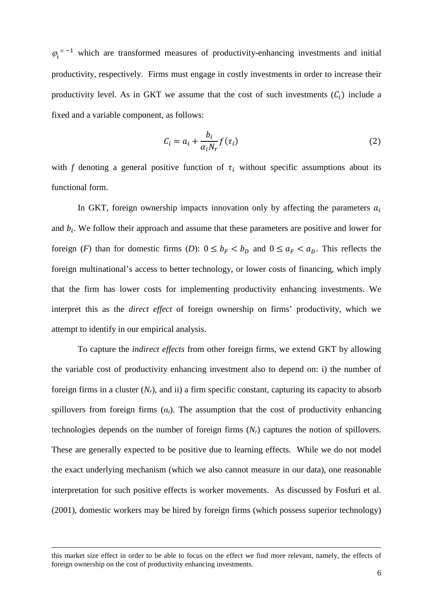$\varphi_i$ <sup> $\sigma$ -1</sup> which are transformed measures of productivity-enhancing investments and initial productivity, respectively. Firms must engage in costly investments in order to increase their productivity level. As in GKT we assume that the cost of such investments  $(C_i)$  include a fixed and a variable component, as follows:

$$
C_i = a_i + \frac{b_i}{\alpha_i N_r} f(\tau_i)
$$
 (2)

with *f* denoting a general positive function of  $\tau_i$  without specific assumptions about its functional form.

In GKT, foreign ownership impacts innovation only by affecting the parameters  $a_i$ and  $b_i$ . We follow their approach and assume that these parameters are positive and lower for foreign (*F*) than for domestic firms (*D*):  $0 \le b_F < b_D$  and  $0 \le a_F < a_D$ . This reflects the foreign multinational's access to better technology, or lower costs of financing, which imply that the firm has lower costs for implementing productivity enhancing investments. We interpret this as the *direct effect* of foreign ownership on firms' productivity, which we attempt to identify in our empirical analysis.

To capture the *indirect effects* from other foreign firms, we extend GKT by allowing the variable cost of productivity enhancing investment also to depend on: i) the number of foreign firms in a cluster (*Nr*), and ii) a firm specific constant, capturing its capacity to absorb spillovers from foreign firms  $(a_i)$ . The assumption that the cost of productivity enhancing technologies depends on the number of foreign firms (*Nr*) captures the notion of spillovers. These are generally expected to be positive due to learning effects. While we do not model the exact underlying mechanism (which we also cannot measure in our data), one reasonable interpretation for such positive effects is worker movements. As discussed by Fosfuri et al. (2001), domestic workers may be hired by foreign firms (which possess superior technology)

 $\overline{\phantom{a}}$ 

this market size effect in order to be able to focus on the effect we find more relevant, namely, the effects of foreign ownership on the cost of productivity enhancing investments.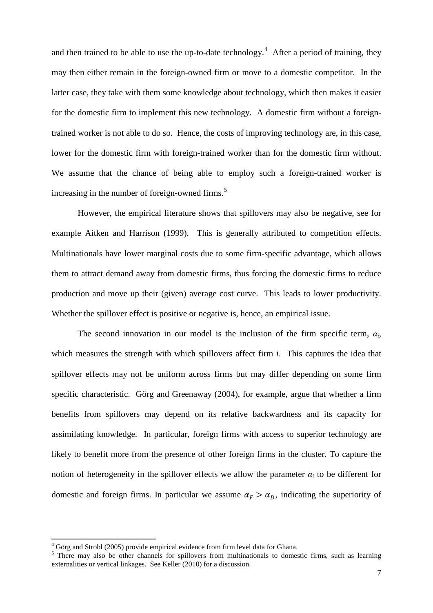and then trained to be able to use the up-to-date technology.<sup>[4](#page-6-0)</sup> After a period of training, they may then either remain in the foreign-owned firm or move to a domestic competitor. In the latter case, they take with them some knowledge about technology, which then makes it easier for the domestic firm to implement this new technology. A domestic firm without a foreigntrained worker is not able to do so. Hence, the costs of improving technology are, in this case, lower for the domestic firm with foreign-trained worker than for the domestic firm without. We assume that the chance of being able to employ such a foreign-trained worker is increasing in the number of foreign-owned firms.<sup>[5](#page-8-0)</sup>

However, the empirical literature shows that spillovers may also be negative, see for example Aitken and Harrison (1999). This is generally attributed to competition effects. Multinationals have lower marginal costs due to some firm-specific advantage, which allows them to attract demand away from domestic firms, thus forcing the domestic firms to reduce production and move up their (given) average cost curve. This leads to lower productivity. Whether the spillover effect is positive or negative is, hence, an empirical issue.

The second innovation in our model is the inclusion of the firm specific term,  $\alpha_i$ , which measures the strength with which spillovers affect firm *i*. This captures the idea that spillover effects may not be uniform across firms but may differ depending on some firm specific characteristic. Görg and Greenaway (2004), for example, argue that whether a firm benefits from spillovers may depend on its relative backwardness and its capacity for assimilating knowledge. In particular, foreign firms with access to superior technology are likely to benefit more from the presence of other foreign firms in the cluster. To capture the notion of heterogeneity in the spillover effects we allow the parameter  $\alpha_i$  to be different for domestic and foreign firms. In particular we assume  $\alpha_F > \alpha_D$ , indicating the superiority of

<span id="page-8-1"></span><sup>4</sup> Görg and Strobl (2005) provide empirical evidence from firm level data for Ghana.

<span id="page-8-0"></span> $5$  There may also be other channels for spillovers from multinationals to domestic firms, such as learning externalities or vertical linkages. See Keller (2010) for a discussion.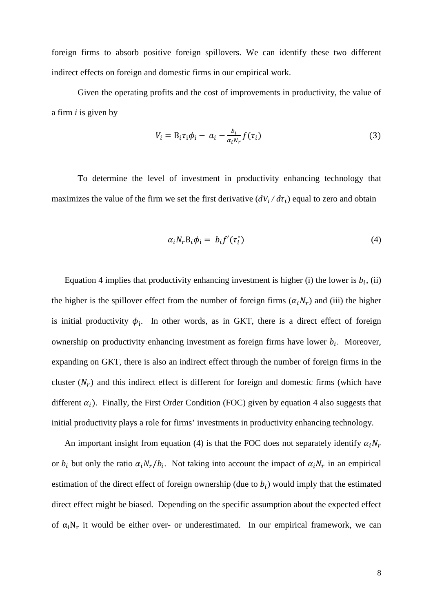foreign firms to absorb positive foreign spillovers. We can identify these two different indirect effects on foreign and domestic firms in our empirical work.

Given the operating profits and the cost of improvements in productivity, the value of a firm *i* is given by

$$
V_i = B_i \tau_i \phi_i - a_i - \frac{b_i}{\alpha_i N_r} f(\tau_i)
$$
\n(3)

To determine the level of investment in productivity enhancing technology that maximizes the value of the firm we set the first derivative  $\left(\frac{dV_i}{d\tau_i}\right)$  equal to zero and obtain

$$
\alpha_i N_r B_i \phi_i = b_i f'(\tau_i^*)
$$
\n(4)

Equation 4 implies that productivity enhancing investment is higher (i) the lower is  $b_i$ , (ii) the higher is the spillover effect from the number of foreign firms  $(\alpha_i N_r)$  and (iii) the higher is initial productivity  $\phi_i$ . In other words, as in GKT, there is a direct effect of foreign ownership on productivity enhancing investment as foreign firms have lower  $b_i$ . Moreover, expanding on GKT, there is also an indirect effect through the number of foreign firms in the cluster  $(N_r)$  and this indirect effect is different for foreign and domestic firms (which have different  $\alpha_i$ ). Finally, the First Order Condition (FOC) given by equation 4 also suggests that initial productivity plays a role for firms' investments in productivity enhancing technology.

An important insight from equation (4) is that the FOC does not separately identify  $\alpha_i N_r$ or  $b_i$  but only the ratio  $\alpha_i N_r / b_i$ . Not taking into account the impact of  $\alpha_i N_r$  in an empirical estimation of the direct effect of foreign ownership (due to  $b_i$ ) would imply that the estimated direct effect might be biased. Depending on the specific assumption about the expected effect of  $\alpha_i N_r$  it would be either over- or underestimated. In our empirical framework, we can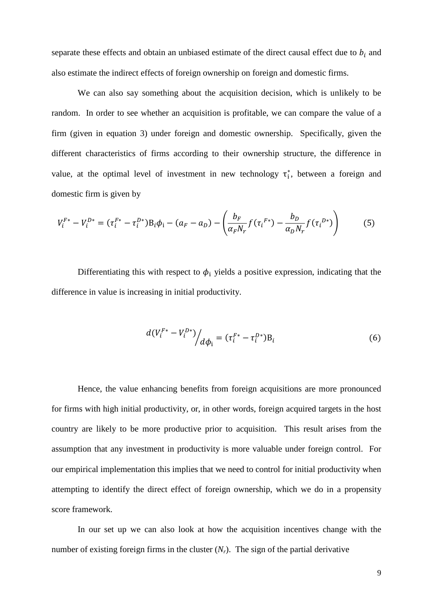separate these effects and obtain an unbiased estimate of the direct causal effect due to  $b_i$  and also estimate the indirect effects of foreign ownership on foreign and domestic firms.

We can also say something about the acquisition decision, which is unlikely to be random. In order to see whether an acquisition is profitable, we can compare the value of a firm (given in equation 3) under foreign and domestic ownership. Specifically, given the different characteristics of firms according to their ownership structure, the difference in value, at the optimal level of investment in new technology  $\tau_i^*$ , between a foreign and domestic firm is given by

$$
V_i^{F*} - V_i^{D*} = (\tau_i^{F*} - \tau_i^{D*})B_i\phi_i - (a_F - a_D) - \left(\frac{b_F}{\alpha_F N_r}f(\tau_i^{F*}) - \frac{b_D}{\alpha_D N_r}f(\tau_i^{D*})\right)
$$
(5)

Differentiating this with respect to  $\phi_i$  yields a positive expression, indicating that the difference in value is increasing in initial productivity.

$$
d(V_i^{F*} - V_i^{D*})/d\phi_i = (\tau_i^{F*} - \tau_i^{D*})B_i
$$
\n(6)

Hence, the value enhancing benefits from foreign acquisitions are more pronounced for firms with high initial productivity, or, in other words, foreign acquired targets in the host country are likely to be more productive prior to acquisition. This result arises from the assumption that any investment in productivity is more valuable under foreign control. For our empirical implementation this implies that we need to control for initial productivity when attempting to identify the direct effect of foreign ownership, which we do in a propensity score framework.

In our set up we can also look at how the acquisition incentives change with the number of existing foreign firms in the cluster  $(N_r)$ . The sign of the partial derivative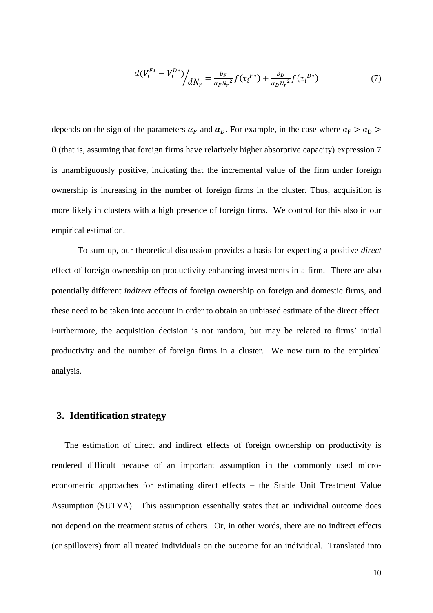$$
d(V_i^{F*} - V_i^{D*})/dN_r = \frac{b_F}{\alpha_F N_r^2} f(\tau_i^{F*}) + \frac{b_D}{\alpha_D N_r^2} f(\tau_i^{D*})
$$
\n(7)

depends on the sign of the parameters  $\alpha_F$  and  $\alpha_D$ . For example, in the case where  $\alpha_F > \alpha_D >$ 0 (that is, assuming that foreign firms have relatively higher absorptive capacity) expression 7 is unambiguously positive, indicating that the incremental value of the firm under foreign ownership is increasing in the number of foreign firms in the cluster. Thus, acquisition is more likely in clusters with a high presence of foreign firms. We control for this also in our empirical estimation.

To sum up, our theoretical discussion provides a basis for expecting a positive *direct* effect of foreign ownership on productivity enhancing investments in a firm. There are also potentially different *indirect* effects of foreign ownership on foreign and domestic firms, and these need to be taken into account in order to obtain an unbiased estimate of the direct effect. Furthermore, the acquisition decision is not random, but may be related to firms' initial productivity and the number of foreign firms in a cluster. We now turn to the empirical analysis.

#### **3. Identification strategy**

The estimation of direct and indirect effects of foreign ownership on productivity is rendered difficult because of an important assumption in the commonly used microeconometric approaches for estimating direct effects – the Stable Unit Treatment Value Assumption (SUTVA). This assumption essentially states that an individual outcome does not depend on the treatment status of others. Or, in other words, there are no indirect effects (or spillovers) from all treated individuals on the outcome for an individual. Translated into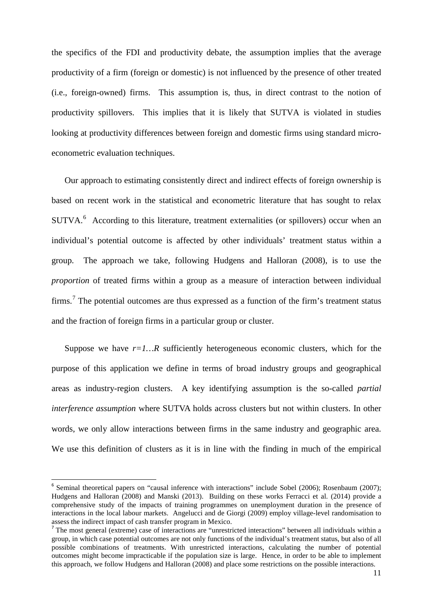the specifics of the FDI and productivity debate, the assumption implies that the average productivity of a firm (foreign or domestic) is not influenced by the presence of other treated (i.e., foreign-owned) firms. This assumption is, thus, in direct contrast to the notion of productivity spillovers. This implies that it is likely that SUTVA is violated in studies looking at productivity differences between foreign and domestic firms using standard microeconometric evaluation techniques.

Our approach to estimating consistently direct and indirect effects of foreign ownership is based on recent work in the statistical and econometric literature that has sought to relax SUTVA.<sup>[6](#page-8-1)</sup> According to this literature, treatment externalities (or spillovers) occur when an individual's potential outcome is affected by other individuals' treatment status within a group. The approach we take, following Hudgens and Halloran (2008), is to use the *proportion* of treated firms within a group as a measure of interaction between individual firms.[7](#page-12-0) The potential outcomes are thus expressed as a function of the firm's treatment status and the fraction of foreign firms in a particular group or cluster.

Suppose we have  $r=1...R$  sufficiently heterogeneous economic clusters, which for the purpose of this application we define in terms of broad industry groups and geographical areas as industry-region clusters. A key identifying assumption is the so-called *partial interference assumption* where SUTVA holds across clusters but not within clusters. In other words, we only allow interactions between firms in the same industry and geographic area. We use this definition of clusters as it is in line with the finding in much of the empirical

<sup>&</sup>lt;sup>6</sup> Seminal theoretical papers on "causal inference with interactions" include Sobel (2006); Rosenbaum (2007); Hudgens and Halloran (2008) and Manski (2013). Building on these works Ferracci et al. (2014) provide a comprehensive study of the impacts of training programmes on unemployment duration in the presence of interactions in the local labour markets. Angelucci and de Giorgi (2009) employ village-level randomisation to assess the indirect impact of cash transfer program in Mexico.

<span id="page-12-1"></span><span id="page-12-0"></span><sup>&</sup>lt;sup>7</sup> The most general (extreme) case of interactions are "unrestricted interactions" between all individuals within a group, in which case potential outcomes are not only functions of the individual's treatment status, but also of all possible combinations of treatments. With unrestricted interactions, calculating the number of potential outcomes might become impracticable if the population size is large. Hence, in order to be able to implement this approach, we follow Hudgens and Halloran (2008) and place some restrictions on the possible interactions.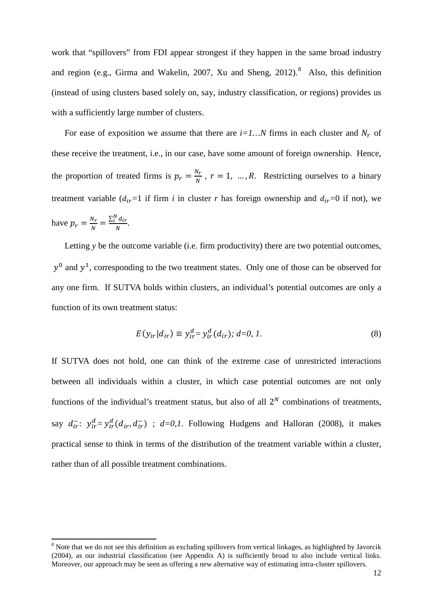work that "spillovers" from FDI appear strongest if they happen in the same broad industry and region (e.g., Girma and Wakelin, 2007, Xu and Sheng, 2012). $8$  Also, this definition (instead of using clusters based solely on, say, industry classification, or regions) provides us with a sufficiently large number of clusters.

For ease of exposition we assume that there are  $i=1...N$  firms in each cluster and  $N_r$  of these receive the treatment, i.e., in our case, have some amount of foreign ownership. Hence, the proportion of treated firms is  $p_r = \frac{N_r}{N}$ ,  $r = 1, ..., R$ . Restricting ourselves to a binary treatment variable  $(d_{ir}=1$  if firm *i* in cluster *r* has foreign ownership and  $d_{ir}=0$  if not), we have  $p_r = \frac{N_r}{N} = \frac{\sum_i^N d_{ir}}{N}$ .

Letting *y* be the outcome variable (i.e. firm productivity) there are two potential outcomes,  $v^0$  and  $v^1$ , corresponding to the two treatment states. Only one of those can be observed for any one firm. If SUTVA holds within clusters, an individual's potential outcomes are only a function of its own treatment status:

$$
E(y_{ir}|d_{ir}) \equiv y_{ir}^d = y_{ir}^d(d_{ir}); \ d = 0, 1.
$$
 (8)

If SUTVA does not hold, one can think of the extreme case of unrestricted interactions between all individuals within a cluster, in which case potential outcomes are not only functions of the individual's treatment status, but also of all  $2^N$  combinations of treatments, say  $d_{ir}^-$ :  $y_{ir}^d = y_{ir}^d(d_{ir}, d_{ir}^-)$ ;  $d=0,1$ . Following Hudgens and Halloran (2008), it makes practical sense to think in terms of the distribution of the treatment variable within a cluster, rather than of all possible treatment combinations.

<span id="page-13-0"></span><sup>&</sup>lt;sup>8</sup> Note that we do not see this definition as excluding spillovers from vertical linkages, as highlighted by Javorcik (2004), as our industrial classification (see Appendix A) is sufficiently broad to also include vertical links. Moreover, our approach may be seen as offering a new alternative way of estimating intra-cluster spillovers.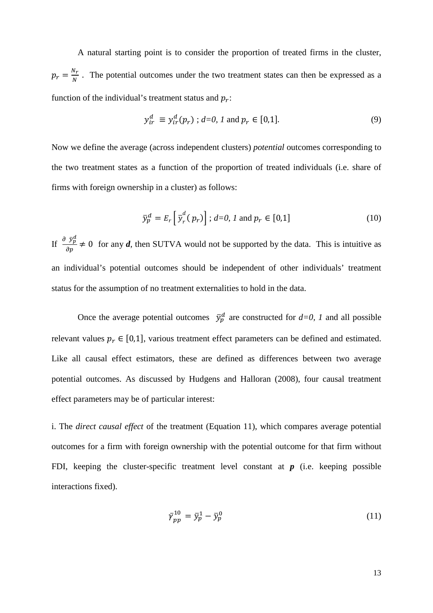A natural starting point is to consider the proportion of treated firms in the cluster,  $p_r = \frac{N_r}{N}$ . The potential outcomes under the two treatment states can then be expressed as a function of the individual's treatment status and  $p_r$ :

$$
y_{ir}^d \equiv y_{ir}^d(p_r) \; ; \; d=0, \; l \; \text{and} \; p_r \in [0,1]. \tag{9}
$$

Now we define the average (across independent clusters) *potential* outcomes corresponding to the two treatment states as a function of the proportion of treated individuals (i.e. share of firms with foreign ownership in a cluster) as follows:

$$
\bar{y}_p^d = E_r \left[ \bar{y}_r^d(p_r) \right]; d=0, 1 \text{ and } p_r \in [0,1]
$$
 (10)

If  $\frac{\partial \bar{y}_p^d}{\partial p} \neq 0$  for any *d*, then SUTVA would not be supported by the data. This is intuitive as an individual's potential outcomes should be independent of other individuals' treatment status for the assumption of no treatment externalities to hold in the data.

Once the average potential outcomes  $\bar{y}_p^d$  are constructed for  $d=0$ , *I* and all possible relevant values  $p_r \in [0,1]$ , various treatment effect parameters can be defined and estimated. Like all causal effect estimators, these are defined as differences between two average potential outcomes. As discussed by Hudgens and Halloran (2008), four causal treatment effect parameters may be of particular interest:

i. The *direct causal effect* of the treatment (Equation 11), which compares average potential outcomes for a firm with foreign ownership with the potential outcome for that firm without FDI, keeping the cluster-specific treatment level constant at *p* (i.e. keeping possible interactions fixed).

$$
\bar{\gamma}_{pp}^{10} = \bar{y}_p^1 - \bar{y}_p^0 \tag{11}
$$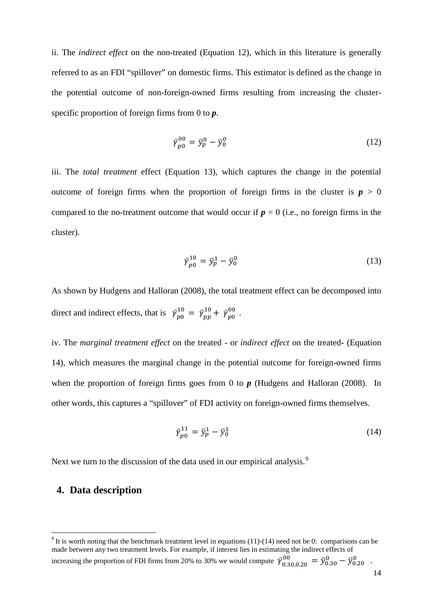ii. The *indirect effect* on the non-treated (Equation 12), which in this literature is generally referred to as an FDI "spillover" on domestic firms. This estimator is defined as the change in the potential outcome of non-foreign-owned firms resulting from increasing the clusterspecific proportion of foreign firms from 0 to *p*.

$$
\bar{\gamma}_{p0}^{00} = \bar{y}_p^0 - \bar{y}_0^0 \tag{12}
$$

iii. The *total treatment* effect (Equation 13), which captures the change in the potential outcome of foreign firms when the proportion of foreign firms in the cluster is  $p > 0$ compared to the no-treatment outcome that would occur if  $p = 0$  (i.e., no foreign firms in the cluster).

$$
\bar{\gamma}_{p0}^{10} = \bar{y}_p^1 - \bar{y}_0^0 \tag{13}
$$

As shown by Hudgens and Halloran (2008), the total treatment effect can be decomposed into direct and indirect effects, that is  $\bar{\gamma}_{p0}^{10} = \bar{\gamma}_{pp}^{10} + \bar{\gamma}_{p0}^{00}$ .

iv. The *marginal treatment effect* on the treated - or *indirect effect* on the treated- (Equation 14), which measures the marginal change in the potential outcome for foreign-owned firms when the proportion of foreign firms goes from 0 to  $p$  (Hudgens and Halloran (2008). In other words, this captures a "spillover" of FDI activity on foreign-owned firms themselves.

$$
\bar{\gamma}_{p0}^{11} = \bar{y}_p^1 - \bar{y}_0^1 \tag{14}
$$

Next we turn to the discussion of the data used in our empirical analysis.<sup>[9](#page-13-0)</sup>

### <span id="page-15-0"></span>**4. Data description**

<sup>&</sup>lt;sup>9</sup> It is worth noting that the benchmark treatment level in equations (11)-(14) need not be 0: comparisons can be made between any two treatment levels. For example, if interest lies in estimating the indirect effects of increasing the proportion of FDI firms from 20% to 30% we would compute  $\bar{\gamma}_{0.30,0.20}^{00} = \bar{y}_{0.30}^{0} - \bar{y}_{0.20}^{0}$ .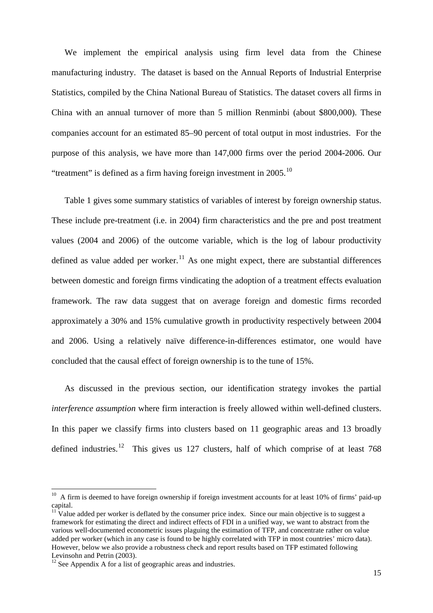We implement the empirical analysis using firm level data from the Chinese manufacturing industry. The dataset is based on the Annual Reports of Industrial Enterprise Statistics, compiled by the China National Bureau of Statistics. The dataset covers all firms in China with an annual turnover of more than 5 million Renminbi (about \$800,000). These companies account for an estimated 85–90 percent of total output in most industries. For the purpose of this analysis, we have more than 147,000 firms over the period 2004-2006. Our "treatment" is defined as a firm having foreign investment in  $2005$ .<sup>[10](#page-15-0)</sup>

Table 1 gives some summary statistics of variables of interest by foreign ownership status. These include pre-treatment (i.e. in 2004) firm characteristics and the pre and post treatment values (2004 and 2006) of the outcome variable, which is the log of labour productivity defined as value added per worker.<sup>[11](#page-16-0)</sup> As one might expect, there are substantial differences between domestic and foreign firms vindicating the adoption of a treatment effects evaluation framework. The raw data suggest that on average foreign and domestic firms recorded approximately a 30% and 15% cumulative growth in productivity respectively between 2004 and 2006. Using a relatively naïve difference-in-differences estimator, one would have concluded that the causal effect of foreign ownership is to the tune of 15%.

As discussed in the previous section, our identification strategy invokes the partial *interference assumption* where firm interaction is freely allowed within well-defined clusters. In this paper we classify firms into clusters based on 11 geographic areas and 13 broadly defined industries.<sup>12</sup> This gives us 127 clusters, half of which comprise of at least 768

 $10$  A firm is deemed to have foreign ownership if foreign investment accounts for at least 10% of firms' paid-up capital.

<span id="page-16-0"></span> $11$  Value added per worker is deflated by the consumer price index. Since our main objective is to suggest a framework for estimating the direct and indirect effects of FDI in a unified way, we want to abstract from the various well-documented econometric issues plaguing the estimation of TFP, and concentrate rather on value added per worker (which in any case is found to be highly correlated with TFP in most countries' micro data). However, below we also provide a robustness check and report results based on TFP estimated following Levinsohn and Petrin (2003).

<span id="page-16-2"></span><span id="page-16-1"></span> $12$  See Appendix A for a list of geographic areas and industries.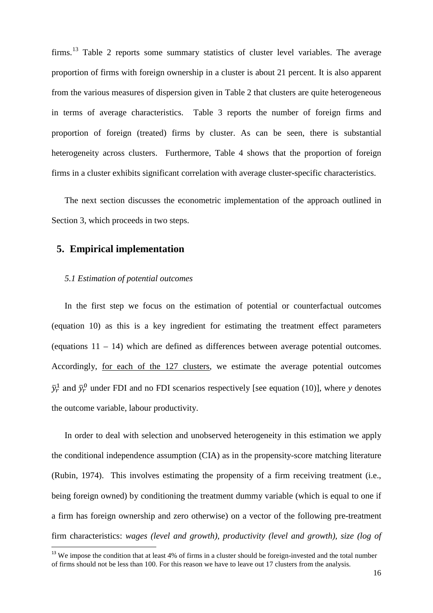firms.<sup>[13](#page-16-2)</sup> Table 2 reports some summary statistics of cluster level variables. The average proportion of firms with foreign ownership in a cluster is about 21 percent. It is also apparent from the various measures of dispersion given in Table 2 that clusters are quite heterogeneous in terms of average characteristics. Table 3 reports the number of foreign firms and proportion of foreign (treated) firms by cluster. As can be seen, there is substantial heterogeneity across clusters. Furthermore, Table 4 shows that the proportion of foreign firms in a cluster exhibits significant correlation with average cluster-specific characteristics.

The next section discusses the econometric implementation of the approach outlined in Section 3, which proceeds in two steps.

### **5. Empirical implementation**

#### *5.1 Estimation of potential outcomes*

In the first step we focus on the estimation of potential or counterfactual outcomes (equation 10) as this is a key ingredient for estimating the treatment effect parameters (equations 11 – 14) which are defined as differences between average potential outcomes. Accordingly, for each of the 127 clusters, we estimate the average potential outcomes  $\bar{y}_r^1$  and  $\bar{y}_r^0$  under FDI and no FDI scenarios respectively [see equation (10)], where *y* denotes the outcome variable, labour productivity.

<span id="page-17-0"></span>In order to deal with selection and unobserved heterogeneity in this estimation we apply the conditional independence assumption (CIA) as in the propensity-score matching literature (Rubin, 1974). This involves estimating the propensity of a firm receiving treatment (i.e., being foreign owned) by conditioning the treatment dummy variable (which is equal to one if a firm has foreign ownership and zero otherwise) on a vector of the following pre-treatment firm characteristics: *wages (level and growth), productivity (level and growth), size (log of* 

<sup>&</sup>lt;sup>13</sup> We impose the condition that at least 4% of firms in a cluster should be foreign-invested and the total number of firms should not be less than 100. For this reason we have to leave out 17 clusters from the analysis.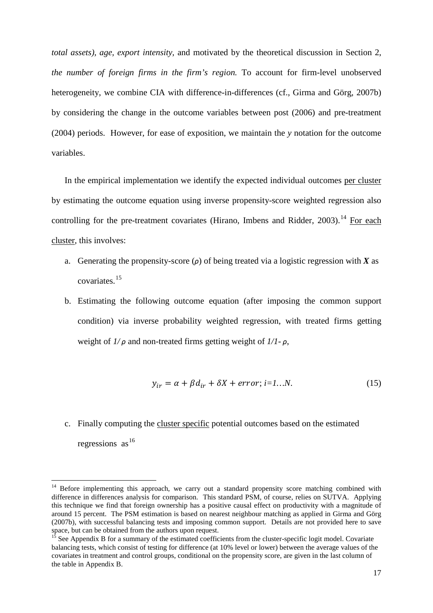*total assets), age, export intensity,* and motivated by the theoretical discussion in Section 2, *the number of foreign firms in the firm's region.* To account for firm-level unobserved heterogeneity, we combine CIA with difference-in-differences (cf., Girma and Görg, 2007b) by considering the change in the outcome variables between post (2006) and pre-treatment (2004) periods. However, for ease of exposition, we maintain the *y* notation for the outcome variables.

In the empirical implementation we identify the expected individual outcomes per cluster by estimating the outcome equation using inverse propensity-score weighted regression also controlling for the pre-treatment covariates (Hirano, Imbens and Ridder,  $2003$ ).<sup>[14](#page-17-0)</sup> For each cluster, this involves:

- a. Generating the propensity-score (*ρ*) of being treated via a logistic regression with *X* as covariates. [15](#page-18-0)
- b. Estimating the following outcome equation (after imposing the common support condition) via inverse probability weighted regression, with treated firms getting weight of *1/ ρ* and non-treated firms getting weight of *1/1- ρ*,

$$
y_{ir} = \alpha + \beta d_{ir} + \delta X + error; i = 1...N.
$$
 (15)

c. Finally computing the cluster specific potential outcomes based on the estimated regressions as  $16$ 

<sup>14</sup> Before implementing this approach, we carry out a standard propensity score matching combined with difference in differences analysis for comparison. This standard PSM, of course, relies on SUTVA. Applying this technique we find that foreign ownership has a positive causal effect on productivity with a magnitude of around 15 percent. The PSM estimation is based on nearest neighbour matching as applied in Girma and Görg (2007b), with successful balancing tests and imposing common support. Details are not provided here to save space, but can be obtained from the authors upon request.

<span id="page-18-2"></span><span id="page-18-1"></span><span id="page-18-0"></span> $15$  See Appendix B for a summary of the estimated coefficients from the cluster-specific logit model. Covariate balancing tests, which consist of testing for difference (at 10% level or lower) between the average values of the covariates in treatment and control groups, conditional on the propensity score, are given in the last column of the table in Appendix B.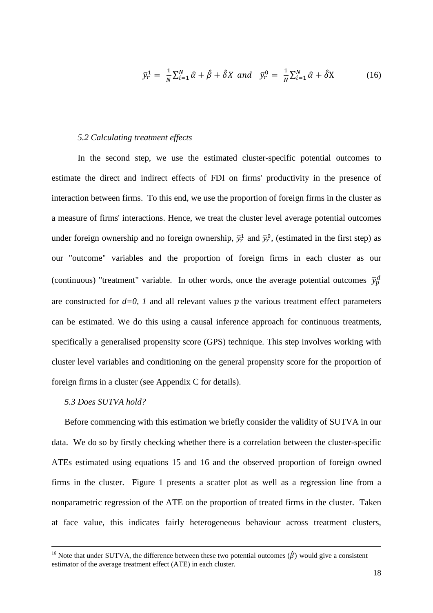$$
\bar{y}_r^1 = \frac{1}{N} \sum_{i=1}^N \hat{\alpha} + \hat{\beta} + \hat{\delta} X \text{ and } \bar{y}_r^0 = \frac{1}{N} \sum_{i=1}^N \hat{\alpha} + \hat{\delta} X \tag{16}
$$

#### *5.2 Calculating treatment effects*

In the second step, we use the estimated cluster-specific potential outcomes to estimate the direct and indirect effects of FDI on firms' productivity in the presence of interaction between firms. To this end, we use the proportion of foreign firms in the cluster as a measure of firms' interactions. Hence, we treat the cluster level average potential outcomes under foreign ownership and no foreign ownership,  $\bar{y}_r^1$  and  $\bar{y}_r^0$ , (estimated in the first step) as our "outcome" variables and the proportion of foreign firms in each cluster as our (continuous) "treatment" variable. In other words, once the average potential outcomes  $\bar{y}_p^d$ are constructed for  $d=0$ , 1 and all relevant values p the various treatment effect parameters can be estimated. We do this using a causal inference approach for continuous treatments, specifically a generalised propensity score (GPS) technique. This step involves working with cluster level variables and conditioning on the general propensity score for the proportion of foreign firms in a cluster (see Appendix C for details).

#### *5.3 Does SUTVA hold?*

 $\overline{\phantom{a}}$ 

Before commencing with this estimation we briefly consider the validity of SUTVA in our data. We do so by firstly checking whether there is a correlation between the cluster-specific ATEs estimated using equations 15 and 16 and the observed proportion of foreign owned firms in the cluster. Figure 1 presents a scatter plot as well as a regression line from a nonparametric regression of the ATE on the proportion of treated firms in the cluster. Taken at face value, this indicates fairly heterogeneous behaviour across treatment clusters,

<sup>&</sup>lt;sup>16</sup> Note that under SUTVA, the difference between these two potential outcomes ( $\hat{\beta}$ ) would give a consistent estimator of the average treatment effect (ATE) in each cluster.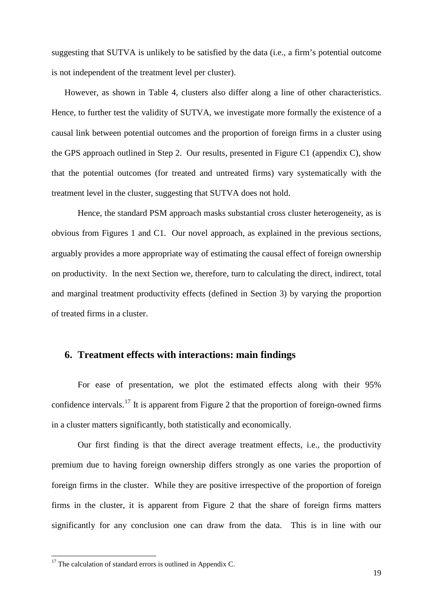suggesting that SUTVA is unlikely to be satisfied by the data (i.e., a firm's potential outcome is not independent of the treatment level per cluster).

However, as shown in Table 4, clusters also differ along a line of other characteristics. Hence, to further test the validity of SUTVA, we investigate more formally the existence of a causal link between potential outcomes and the proportion of foreign firms in a cluster using the GPS approach outlined in Step 2. Our results, presented in Figure C1 (appendix C), show that the potential outcomes (for treated and untreated firms) vary systematically with the treatment level in the cluster, suggesting that SUTVA does not hold.

Hence, the standard PSM approach masks substantial cross cluster heterogeneity, as is obvious from Figures 1 and C1. Our novel approach, as explained in the previous sections, arguably provides a more appropriate way of estimating the causal effect of foreign ownership on productivity. In the next Section we, therefore, turn to calculating the direct, indirect, total and marginal treatment productivity effects (defined in Section 3) by varying the proportion of treated firms in a cluster.

### **6. Treatment effects with interactions: main findings**

For ease of presentation, we plot the estimated effects along with their 95% confidence intervals.<sup>[17](#page-18-2)</sup> It is apparent from Figure 2 that the proportion of foreign-owned firms in a cluster matters significantly, both statistically and economically.

Our first finding is that the direct average treatment effects, i.e., the productivity premium due to having foreign ownership differs strongly as one varies the proportion of foreign firms in the cluster. While they are positive irrespective of the proportion of foreign firms in the cluster, it is apparent from Figure 2 that the share of foreign firms matters significantly for any conclusion one can draw from the data. This is in line with our

<span id="page-20-0"></span><sup>&</sup>lt;sup>17</sup> The calculation of standard errors is outlined in Appendix C.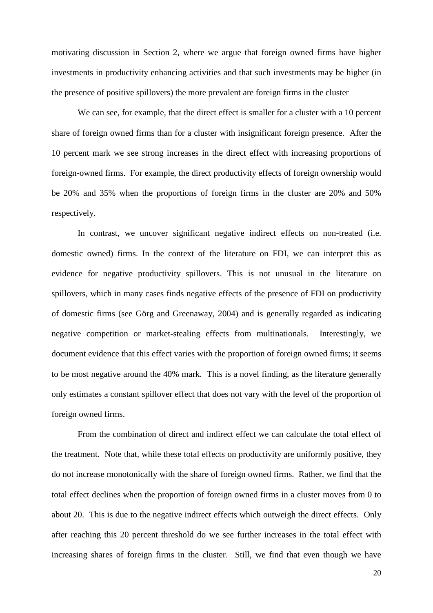motivating discussion in Section 2, where we argue that foreign owned firms have higher investments in productivity enhancing activities and that such investments may be higher (in the presence of positive spillovers) the more prevalent are foreign firms in the cluster

We can see, for example, that the direct effect is smaller for a cluster with a 10 percent share of foreign owned firms than for a cluster with insignificant foreign presence. After the 10 percent mark we see strong increases in the direct effect with increasing proportions of foreign-owned firms. For example, the direct productivity effects of foreign ownership would be 20% and 35% when the proportions of foreign firms in the cluster are 20% and 50% respectively.

In contrast, we uncover significant negative indirect effects on non-treated (i.e. domestic owned) firms. In the context of the literature on FDI, we can interpret this as evidence for negative productivity spillovers. This is not unusual in the literature on spillovers, which in many cases finds negative effects of the presence of FDI on productivity of domestic firms (see Görg and Greenaway, 2004) and is generally regarded as indicating negative competition or market-stealing effects from multinationals. Interestingly, we document evidence that this effect varies with the proportion of foreign owned firms; it seems to be most negative around the 40% mark. This is a novel finding, as the literature generally only estimates a constant spillover effect that does not vary with the level of the proportion of foreign owned firms.

From the combination of direct and indirect effect we can calculate the total effect of the treatment. Note that, while these total effects on productivity are uniformly positive, they do not increase monotonically with the share of foreign owned firms. Rather, we find that the total effect declines when the proportion of foreign owned firms in a cluster moves from 0 to about 20. This is due to the negative indirect effects which outweigh the direct effects. Only after reaching this 20 percent threshold do we see further increases in the total effect with increasing shares of foreign firms in the cluster. Still, we find that even though we have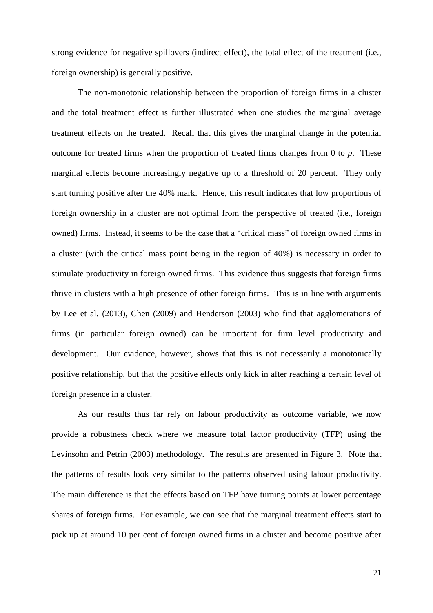strong evidence for negative spillovers (indirect effect), the total effect of the treatment (i.e., foreign ownership) is generally positive.

The non-monotonic relationship between the proportion of foreign firms in a cluster and the total treatment effect is further illustrated when one studies the marginal average treatment effects on the treated. Recall that this gives the marginal change in the potential outcome for treated firms when the proportion of treated firms changes from 0 to *p*. These marginal effects become increasingly negative up to a threshold of 20 percent. They only start turning positive after the 40% mark. Hence, this result indicates that low proportions of foreign ownership in a cluster are not optimal from the perspective of treated (i.e., foreign owned) firms. Instead, it seems to be the case that a "critical mass" of foreign owned firms in a cluster (with the critical mass point being in the region of 40%) is necessary in order to stimulate productivity in foreign owned firms. This evidence thus suggests that foreign firms thrive in clusters with a high presence of other foreign firms. This is in line with arguments by Lee et al. (2013), Chen (2009) and Henderson (2003) who find that agglomerations of firms (in particular foreign owned) can be important for firm level productivity and development. Our evidence, however, shows that this is not necessarily a monotonically positive relationship, but that the positive effects only kick in after reaching a certain level of foreign presence in a cluster.

As our results thus far rely on labour productivity as outcome variable, we now provide a robustness check where we measure total factor productivity (TFP) using the Levinsohn and Petrin (2003) methodology. The results are presented in Figure 3. Note that the patterns of results look very similar to the patterns observed using labour productivity. The main difference is that the effects based on TFP have turning points at lower percentage shares of foreign firms. For example, we can see that the marginal treatment effects start to pick up at around 10 per cent of foreign owned firms in a cluster and become positive after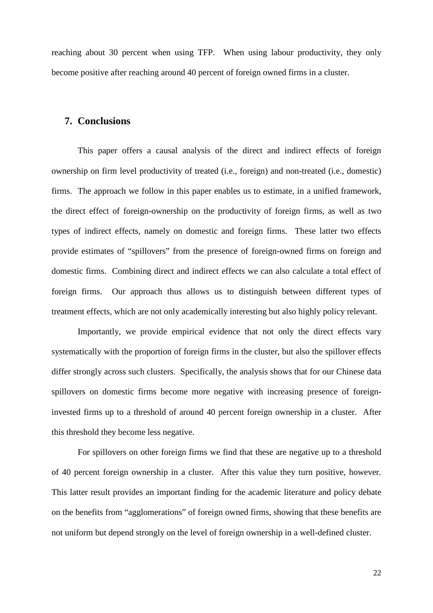reaching about 30 percent when using TFP. When using labour productivity, they only become positive after reaching around 40 percent of foreign owned firms in a cluster.

### **7. Conclusions**

This paper offers a causal analysis of the direct and indirect effects of foreign ownership on firm level productivity of treated (i.e., foreign) and non-treated (i.e., domestic) firms. The approach we follow in this paper enables us to estimate, in a unified framework, the direct effect of foreign-ownership on the productivity of foreign firms, as well as two types of indirect effects, namely on domestic and foreign firms. These latter two effects provide estimates of "spillovers" from the presence of foreign-owned firms on foreign and domestic firms. Combining direct and indirect effects we can also calculate a total effect of foreign firms. Our approach thus allows us to distinguish between different types of treatment effects, which are not only academically interesting but also highly policy relevant.

Importantly, we provide empirical evidence that not only the direct effects vary systematically with the proportion of foreign firms in the cluster, but also the spillover effects differ strongly across such clusters. Specifically, the analysis shows that for our Chinese data spillovers on domestic firms become more negative with increasing presence of foreigninvested firms up to a threshold of around 40 percent foreign ownership in a cluster. After this threshold they become less negative.

For spillovers on other foreign firms we find that these are negative up to a threshold of 40 percent foreign ownership in a cluster. After this value they turn positive, however. This latter result provides an important finding for the academic literature and policy debate on the benefits from "agglomerations" of foreign owned firms, showing that these benefits are not uniform but depend strongly on the level of foreign ownership in a well-defined cluster.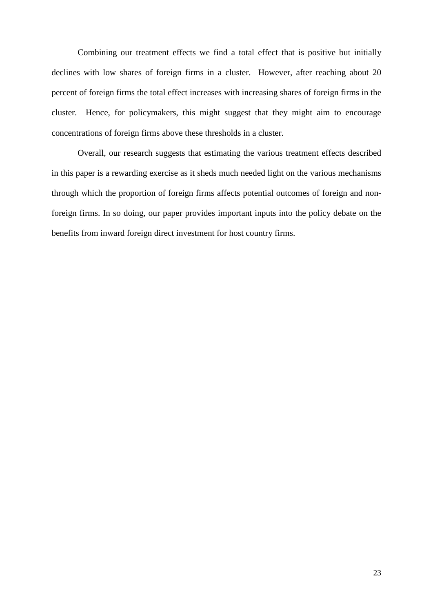Combining our treatment effects we find a total effect that is positive but initially declines with low shares of foreign firms in a cluster. However, after reaching about 20 percent of foreign firms the total effect increases with increasing shares of foreign firms in the cluster. Hence, for policymakers, this might suggest that they might aim to encourage concentrations of foreign firms above these thresholds in a cluster.

Overall, our research suggests that estimating the various treatment effects described in this paper is a rewarding exercise as it sheds much needed light on the various mechanisms through which the proportion of foreign firms affects potential outcomes of foreign and nonforeign firms. In so doing, our paper provides important inputs into the policy debate on the benefits from inward foreign direct investment for host country firms.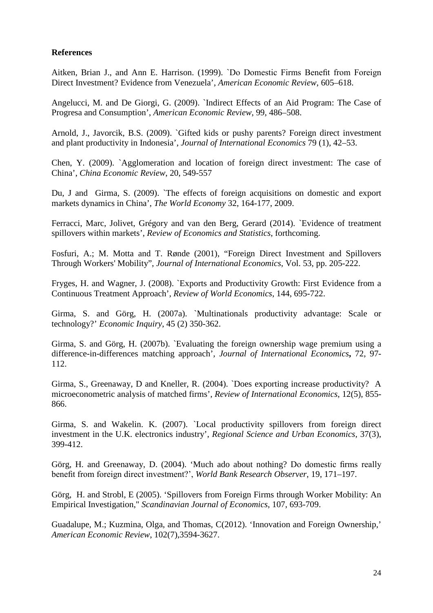### **References**

Aitken, Brian J., and Ann E. Harrison. (1999). `Do Domestic Firms Benefit from Foreign Direct Investment? Evidence from Venezuela', *American Economic Review*, 605–618.

Angelucci, M. and De Giorgi, G. (2009). `Indirect Effects of an Aid Program: The Case of Progresa and Consumption', *American Economic Review*, 99, 486–508.

Arnold, J., Javorcik, B.S. (2009). `Gifted kids or pushy parents? Foreign direct investment and plant productivity in Indonesia', *Journal of International Economics* 79 (1), 42–53.

Chen, Y. (2009). `Agglomeration and location of foreign direct investment: The case of China', *China Economic Review*, 20, 549-557

Du, J and Girma, S. (2009). `The effects of foreign acquisitions on domestic and export markets dynamics in China', *The World Economy* 32, 164-177, 2009.

Ferracci, Marc, Jolivet, Grégory and van den Berg, Gerard (2014). [`Evidence](http://ideas.repec.org/p/iza/izadps/dp4700.html) of treatment spillovers within markets', *Review of Economics and Statistics*, forthcoming.

Fosfuri, A.; M. Motta and T. Rønde (2001), "Foreign Direct Investment and Spillovers Through Workers' Mobility", *Journal of International Economics*, Vol. 53, pp. 205-222.

Fryges, H. and Wagner, J. (2008). `Exports and Productivity Growth: First Evidence from a Continuous Treatment Approach', *Review of World Economics*, 144, 695-722.

Girma, S. and Görg, H. (2007a). `Multinationals productivity advantage: Scale or technology?' *Economic Inquiry*, 45 (2) 350-362.

Girma, S. and Görg, H. (2007b). `Evaluating the foreign ownership wage premium using a difference-in-differences matching approach', *Journal of International Economics***,** 72, 97- 112.

Girma, S., Greenaway, D and Kneller, R. (2004). `Does exporting increase productivity? A microeconometric analysis of matched firms', *Review of International Economics*, 12(5), 855- 866.

Girma, S. and Wakelin. K. (2007). [`Local productivity spillovers](http://ideas.repec.org/a/eee/regeco/v37y2007i3p399-412.html) from foreign direct [investment in the U.K. electronics industry'](http://ideas.repec.org/a/eee/regeco/v37y2007i3p399-412.html), *[Regional Science and Urban Economics](http://ideas.repec.org/s/eee/regeco.html)*, 37(3), 399-412.

Görg, H. and Greenaway, D. (2004). 'Much ado about nothing? Do domestic firms really benefit from foreign direct investment?', *World Bank Research Observer*, 19, 171–197.

Görg, H. and Strobl, E (2005). 'Spillovers from Foreign Firms through Worker Mobility: An Empirical Investigation," *Scandinavian Journal of Economics*, 107, 693-709.

Guadalupe, M.; Kuzmina, Olga, and Thomas, C(2012). ['Innovation and Foreign Ownership,](http://ideas.repec.org/a/aea/aecrev/v102y2012i7p3594-3627.html)' *[American Economic Review](http://ideas.repec.org/s/aea/aecrev.html)*, 102(7),3594-3627.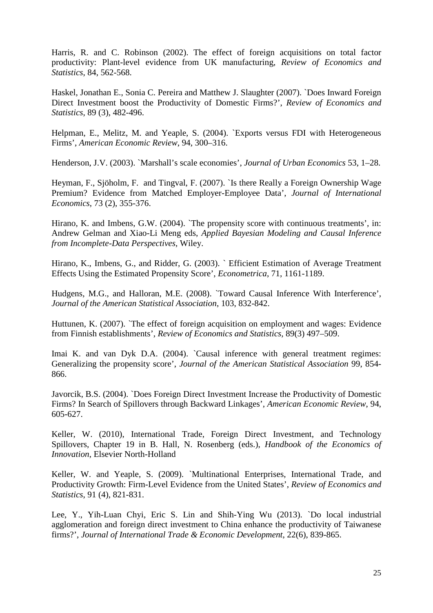Harris, R. and C. Robinson (2002). The effect of foreign acquisitions on total factor productivity: Plant-level evidence from UK manufacturing, *Review of Economics and Statistics*, 84, 562-568.

Haskel, Jonathan E., Sonia C. Pereira and Matthew J. Slaughter (2007). `Does Inward Foreign Direct Investment boost the Productivity of Domestic Firms?', *Review of Economics and Statistics*, 89 (3), 482-496.

Helpman, E., Melitz, M. and Yeaple, S. (2004). `Exports versus FDI with Heterogeneous Firms', *American Economic Review*, 94, 300–316.

Henderson, J.V. (2003). `Marshall's scale economies', *Journal of Urban Economics* 53, 1–28.

Heyman, F., Sjöholm, F. and Tingval, F. (2007). `Is there Really a Foreign Ownership Wage Premium? Evidence from Matched Employer-Employee Data', *Journal of International Economics*, 73 (2), 355-376.

Hirano, K. and Imbens, G.W. (2004). `The propensity score with continuous treatments', in: Andrew Gelman and Xiao-Li Meng eds, *Applied Bayesian Modeling and Causal Inference from Incomplete-Data Perspectives*, Wiley.

Hirano, K., Imbens, G., and Ridder, G. (2003). ` Efficient Estimation of Average Treatment Effects Using the Estimated Propensity Score', *Econometrica*, 71, 1161-1189.

Hudgens, M.G., and Halloran, M.E. (2008). `Toward Causal Inference With Interference', *Journal of the American Statistical Association*, 103, 832-842.

Huttunen, K. (2007). `The effect of foreign acquisition on employment and wages: Evidence from Finnish establishments', *Review of Economics and Statistics,* 89(3) 497–509.

Imai K. and van Dyk D.A. (2004). `Causal inference with general treatment regimes: Generalizing the propensity score', *Journal of the American Statistical Association* 99, 854- 866.

Javorcik, B.S. (2004). `Does Foreign Direct Investment Increase the Productivity of Domestic Firms? In Search of Spillovers through Backward Linkages', *American Economic Review*, 94, 605-627.

Keller, W. (2010), [International Trade, Foreign Direct Investment, and Technology](http://spot.colorado.edu/~kellerw/Handbook.pdf)  [Spillovers,](http://spot.colorado.edu/~kellerw/Handbook.pdf) Chapter 19 in B. Hall, N. Rosenberg (eds.), *Handbook of the Economics of Innovation*, Elsevier North-Holland

Keller, W. and Yeaple, S. (2009). `Multinational Enterprises, International Trade, and Productivity Growth: Firm-Level Evidence from the United States', *Review of Economics and Statistics*, 91 (4), 821-831.

Lee, Y., Yih-Luan Chyi, Eric S. Lin and Shih-Ying Wu (2013). `Do local industrial agglomeration and foreign direct investment to China enhance the productivity of Taiwanese firms?', *Journal of International Trade & Economic Development*, 22(6), 839-865.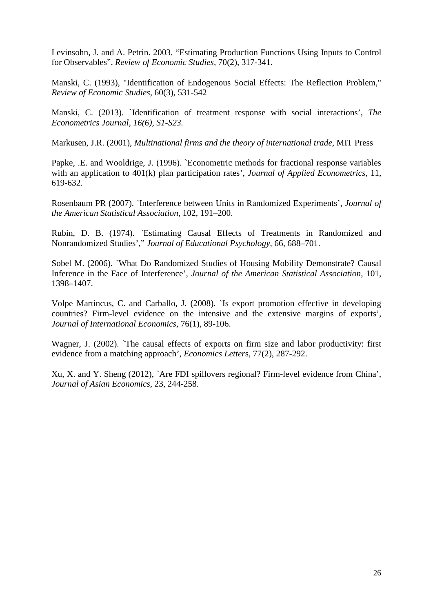Levinsohn, J. and A. Petrin. 2003. "Estimating Production Functions Using Inputs to Control for Observables", *Review of Economic Studies,* 70(2), 317-341.

Manski, C. (1993), "Identification of Endogenous Social Effects: The Reflection Problem," *Review of Economic Studies*, 60(3), 531-542

Manski, C. (2013). [`Identification of treatment response with social interactions'](http://ideas.repec.org/p/ifs/cemmap/01-10.html), *The Econometrics Journal, 16(6), S1-S23.*

Markusen, J.R. (2001), *Multinational firms and the theory of international trade*, MIT Press

Papke, .E. and Wooldrige, J. (1996). `Econometric methods for fractional response variables with an application to 401(k) plan participation rates', *Journal of Applied Econometrics,* 11, 619-632.

Rosenbaum PR (2007). `Interference between Units in Randomized Experiments', *Journal of the American Statistical Association*, 102, 191–200.

Rubin, D. B. (1974). `Estimating Causal Effects of Treatments in Randomized and Nonrandomized Studies'," *Journal of Educational Psychology*, 66, 688–701.

Sobel M. (2006). `What Do Randomized Studies of Housing Mobility Demonstrate? Causal Inference in the Face of Interference', *Journal of the American Statistical Association*, 101, 1398–1407.

Volpe Martincus, C. and Carballo, J. (2008). [`Is export promotion effective in developing](http://ideas.repec.org/a/eee/inecon/v76y2008i1p89-106.html)  [countries? Firm-level evidence on the intensive and the extensive margins of exports'](http://ideas.repec.org/a/eee/inecon/v76y2008i1p89-106.html), *[Journal of International Economics](http://ideas.repec.org/s/eee/inecon.html)*, 76(1), 89-106.

Wagner, J. (2002). [`The causal effects of exports on firm size and labor productivity: first](http://ideas.repec.org/a/eee/ecolet/v77y2002i2p287-292.html)  [evidence from a matching approach'](http://ideas.repec.org/a/eee/ecolet/v77y2002i2p287-292.html), *[Economics Letter](http://ideas.repec.org/s/eee/ecolet.html)*s, 77(2), 287-292.

Xu, X. and Y. Sheng (2012), `Are FDI spillovers regional? Firm-level evidence from China', *Journal of Asian Economics*, 23, 244-258.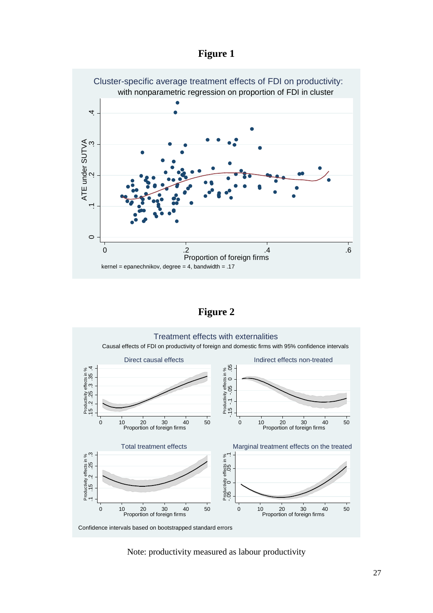



**Figure 2**



Note: productivity measured as labour productivity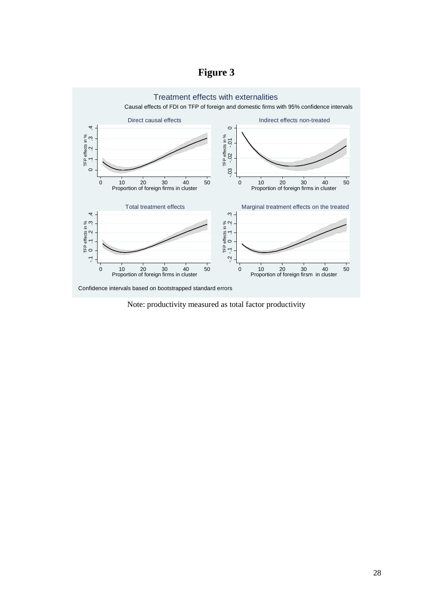# **Figure 3**



Note: productivity measured as total factor productivity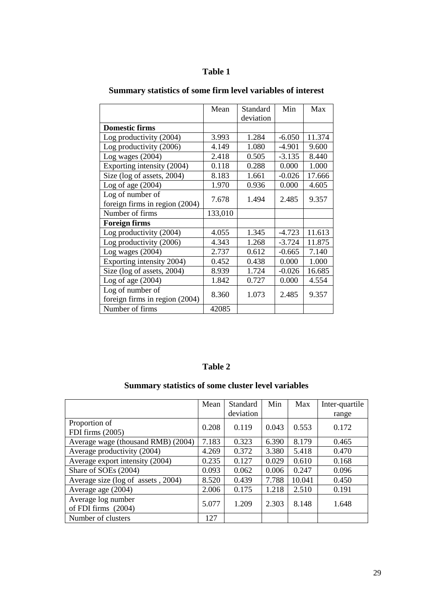### **Table 1**

|                                | Mean    | Standard  | Min      | Max    |
|--------------------------------|---------|-----------|----------|--------|
|                                |         | deviation |          |        |
| <b>Domestic firms</b>          |         |           |          |        |
| Log productivity (2004)        | 3.993   | 1.284     | $-6.050$ | 11.374 |
| Log productivity (2006)        | 4.149   | 1.080     | $-4.901$ | 9.600  |
| Log wages $(2004)$             | 2.418   | 0.505     | $-3.135$ | 8.440  |
| Exporting intensity (2004)     | 0.118   | 0.288     | 0.000    | 1.000  |
| Size (log of assets, 2004)     | 8.183   | 1.661     | $-0.026$ | 17.666 |
| Log of age $(2004)$            | 1.970   | 0.936     | 0.000    | 4.605  |
| Log of number of               | 7.678   | 1.494     | 2.485    | 9.357  |
| foreign firms in region (2004) |         |           |          |        |
| Number of firms                | 133,010 |           |          |        |
| <b>Foreign firms</b>           |         |           |          |        |
| Log productivity (2004)        | 4.055   | 1.345     | $-4.723$ | 11.613 |
| Log productivity (2006)        | 4.343   | 1.268     | $-3.724$ | 11.875 |
| Log wages $(2004)$             | 2.737   | 0.612     | $-0.665$ | 7.140  |
| Exporting intensity 2004)      | 0.452   | 0.438     | 0.000    | 1.000  |
| Size (log of assets, 2004)     | 8.939   | 1.724     | $-0.026$ | 16.685 |
| Log of age $(2004)$            | 1.842   | 0.727     | 0.000    | 4.554  |
| Log of number of               | 8.360   | 1.073     | 2.485    | 9.357  |
| foreign firms in region (2004) |         |           |          |        |
| Number of firms                | 42085   |           |          |        |

# **Summary statistics of some firm level variables of interest**

## **Table 2**

### **Summary statistics of some cluster level variables**

|                                             | Mean  | Standard<br>deviation | Min   | Max    | Inter-quartile<br>range |
|---------------------------------------------|-------|-----------------------|-------|--------|-------------------------|
| Proportion of<br>FDI firms $(2005)$         | 0.208 | 0.119                 | 0.043 | 0.553  | 0.172                   |
| Average wage (thousand RMB) (2004)          | 7.183 | 0.323                 | 6.390 | 8.179  | 0.465                   |
| Average productivity (2004)                 | 4.269 | 0.372                 | 3.380 | 5.418  | 0.470                   |
| Average export intensity (2004)             | 0.235 | 0.127                 | 0.029 | 0.610  | 0.168                   |
| Share of SOEs (2004)                        | 0.093 | 0.062                 | 0.006 | 0.247  | 0.096                   |
| Average size (log of assets, 2004)          | 8.520 | 0.439                 | 7.788 | 10.041 | 0.450                   |
| Average age (2004)                          | 2.006 | 0.175                 | 1.218 | 2.510  | 0.191                   |
| Average log number<br>of FDI firms $(2004)$ | 5.077 | 1.209                 | 2.303 | 8.148  | 1.648                   |
| Number of clusters                          | 127   |                       |       |        |                         |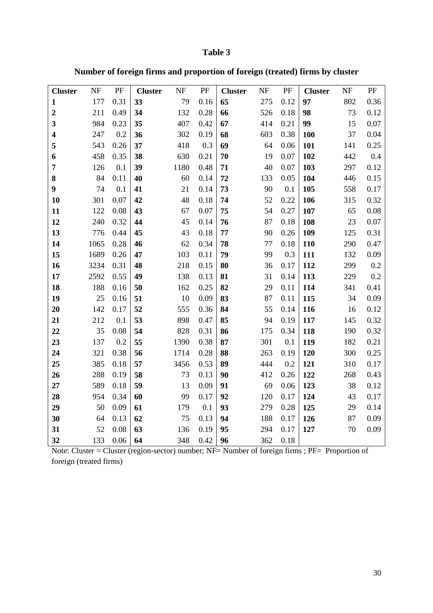### **Table 3**

**Number of foreign firms and proportion of foreign (treated) firms by cluster** 

| <b>Cluster</b>          | NF   | PF   | <b>Cluster</b> | $\ensuremath{\text{NF}}$ | PF   | <b>Cluster</b> | NF  | PF                     | <b>Cluster</b> | NF  | $\rm PF$ |
|-------------------------|------|------|----------------|--------------------------|------|----------------|-----|------------------------|----------------|-----|----------|
| $\mathbf{1}$            | 177  | 0.31 | 33             | 79                       | 0.16 | 65             | 275 | 0.12                   | 97             | 802 | 0.36     |
| $\boldsymbol{2}$        | 211  | 0.49 | 34             | 132                      | 0.28 | 66             | 526 | 0.18                   | 98             | 73  | 0.12     |
| 3                       | 984  | 0.23 | 35             | 407                      | 0.42 | 67             | 414 | 0.21                   | 99             | 15  | 0.07     |
| $\overline{\mathbf{4}}$ | 247  | 0.2  | 36             | 302                      | 0.19 | 68             | 603 | 0.38                   | 100            | 37  | 0.04     |
| 5                       | 543  | 0.26 | 37             | 418                      | 0.3  | 69             | 64  | 0.06                   | 101            | 141 | 0.25     |
| 6                       | 458  | 0.35 | 38             | 630                      | 0.21 | 70             | 19  | 0.07                   | 102            | 442 | 0.4      |
| 7                       | 126  | 0.1  | 39             | 1180                     | 0.48 | 71             | 40  | 0.07                   | 103            | 297 | 0.12     |
| 8                       | 84   | 0.11 | 40             | 60                       | 0.14 | 72             | 133 | 0.05                   | 104            | 446 | 0.15     |
| 9                       | 74   | 0.1  | 41             | 21                       | 0.14 | 73             | 90  | 0.1                    | 105            | 558 | 0.17     |
| 10                      | 301  | 0.07 | 42             | 48                       | 0.18 | 74             | 52  | 0.22                   | 106            | 315 | 0.32     |
| 11                      | 122  | 0.08 | 43             | 67                       | 0.07 | 75             | 54  | 0.27                   | 107            | 65  | 0.08     |
| 12                      | 240  | 0.32 | 44             | 45                       | 0.14 | 76             | 87  | 0.18                   | 108            | 23  | 0.07     |
| 13                      | 776  | 0.44 | 45             | 43                       | 0.18 | 77             | 90  | 0.26                   | 109            | 125 | 0.31     |
| 14                      | 1065 | 0.28 | 46             | 62                       | 0.34 | 78             | 77  | 0.18                   | <b>110</b>     | 290 | 0.47     |
| 15                      | 1689 | 0.26 | 47             | 103                      | 0.11 | 79             | 99  | 0.3                    | 111            | 132 | 0.09     |
| 16                      | 3234 | 0.31 | 48             | 218                      | 0.15 | 80             | 36  | 0.17                   | 112            | 299 | 0.2      |
| 17                      | 2592 | 0.55 | 49             | 138                      | 0.13 | 81             | 31  | 0.14                   | 113            | 229 | 0.2      |
| 18                      | 188  | 0.16 | 50             | 162                      | 0.25 | 82             | 29  | 0.11                   | 114            | 341 | 0.41     |
| 19                      | 25   | 0.16 | 51             | 10                       | 0.09 | 83             | 87  | 0.11                   | 115            | 34  | 0.09     |
| 20                      | 142  | 0.17 | 52             | 555                      | 0.36 | 84             | 55  | 0.14                   | 116            | 16  | 0.12     |
| 21                      | 212  | 0.1  | 53             | 898                      | 0.47 | 85             | 94  | 0.19                   | 117            | 145 | 0.32     |
| 22                      | 35   | 0.08 | 54             | 828                      | 0.31 | 86             | 175 | 0.34                   | 118            | 190 | 0.32     |
| 23                      | 137  | 0.2  | 55             | 1390                     | 0.38 | 87             | 301 | 0.1                    | 119            | 182 | 0.21     |
| 24                      | 321  | 0.38 | 56             | 1714                     | 0.28 | 88             | 263 | 0.19                   | 120            | 300 | 0.25     |
| 25                      | 385  | 0.18 | 57             | 3456                     | 0.53 | 89             | 444 | 0.2                    | 121            | 310 | 0.17     |
| 26                      | 288  | 0.19 | 58             | 73                       | 0.13 | 90             | 412 | 0.26                   | 122            | 268 | 0.43     |
| 27                      | 589  | 0.18 | 59             | 13                       | 0.09 | 91             | 69  | 0.06                   | 123            | 38  | 0.12     |
| 28                      | 954  | 0.34 | 60             | 99                       | 0.17 | 92             | 120 | 0.17                   | 124            | 43  | 0.17     |
| 29                      | 50   | 0.09 | 61             | 179                      | 0.1  | 93             | 279 | 0.28                   | 125            | 29  | 0.14     |
| 30                      | 64   | 0.13 | 62             | 75                       | 0.13 | 94             | 188 | 0.17                   | 126            | 87  | 0.09     |
| 31                      | 52   | 0.08 | 63             | 136                      | 0.19 | 95             | 294 | 0.17                   | 127            | 70  | 0.09     |
| 32                      | 133  | 0.06 | 64             | 348                      | 0.42 | 96             | 362 | 0.18<br>$\overline{a}$ |                |     |          |

Note: Cluster = Cluster (region-sector) number; NF= Number of foreign firms ; PF= Proportion of foreign (treated firms)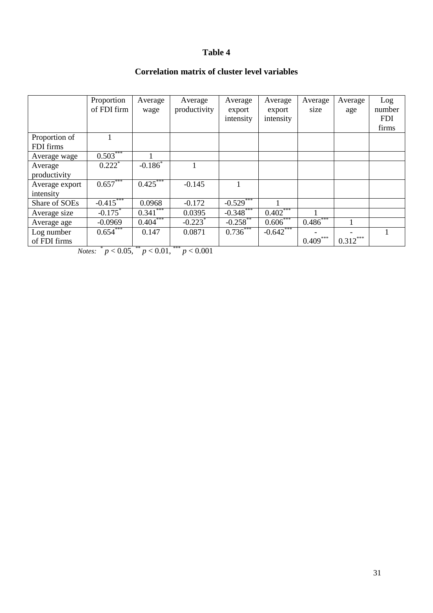### **Table 4**

### **Correlation matrix of cluster level variables**

|                | Proportion            | Average                | Average      | Average     | Average    | Average    | Average    | Log        |
|----------------|-----------------------|------------------------|--------------|-------------|------------|------------|------------|------------|
|                | of FDI firm           | wage                   | productivity | export      | export     | size       | age        | number     |
|                |                       |                        |              | intensity   | intensity  |            |            | <b>FDI</b> |
|                |                       |                        |              |             |            |            |            | firms      |
| Proportion of  |                       |                        |              |             |            |            |            |            |
| FDI firms      |                       |                        |              |             |            |            |            |            |
| Average wage   | $0.503***$            |                        |              |             |            |            |            |            |
| Average        | $0.222$ <sup>*</sup>  | $-0.186$ <sup>*</sup>  |              |             |            |            |            |            |
| productivity   |                       |                        |              |             |            |            |            |            |
| Average export | $0.657***$            | $0.425***$             | $-0.145$     |             |            |            |            |            |
| intensity      |                       |                        |              |             |            |            |            |            |
| Share of SOEs  | $-0.415$              | 0.0968                 | $-0.172$     | $-0.529$    |            |            |            |            |
| Average size   | $-0.175$ <sup>*</sup> | $0.341$ <sup>***</sup> | 0.0395       | $-0.348$    | $0.402***$ |            |            |            |
| Average age    | $-0.0969$             | $0.404***$             | $-0.223$     | $-0.258$ ** | $0.606***$ | $0.486***$ |            |            |
| Log number     | $0.654***$            | 0.147                  | 0.0871       | 0.736       | $-0.642$   |            |            |            |
| of FDI firms   |                       |                        |              |             |            | $0.409***$ | $0.312***$ |            |

*Notes:*  $^{*} p < 0.05$ ,  $^{**} p < 0.01$ ,  $^{***} p < 0.001$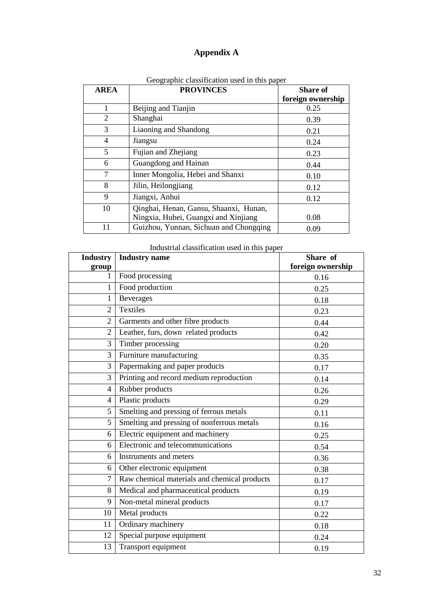### **Appendix A**

| <b>AREA</b> | <b>PROVINCES</b>                       | <b>Share of</b>   |
|-------------|----------------------------------------|-------------------|
|             |                                        | foreign ownership |
| 1           | Beijing and Tianjin                    | 0.25              |
| 2           | Shanghai                               | 0.39              |
| 3           | Liaoning and Shandong                  | 0.21              |
| 4           | Jiangsu                                | 0.24              |
| 5           | Fujian and Zhejiang                    | 0.23              |
| 6           | Guangdong and Hainan                   | 0.44              |
| 7           | Inner Mongolia, Hebei and Shanxi       | 0.10              |
| 8           | Jilin, Heilongjiang                    | 0.12              |
| 9           | Jiangxi, Anhui                         | 0.12              |
| 10          | Qinghai, Henan, Gansu, Shaanxi, Hunan, |                   |
|             | Ningxia, Hubei, Guangxi and Xinjiang   | 0.08              |
| 11          | Guizhou, Yunnan, Sichuan and Chongqing | 0.09              |

Geographic classification used in this paper

#### Industrial classification used in this paper

| <b>Industry</b> | <b>Industry</b> name                         | Share of          |
|-----------------|----------------------------------------------|-------------------|
| group           |                                              | foreign ownership |
| 1               | Food processing                              | 0.16              |
| $\mathbf{1}$    | Food production                              | 0.25              |
| $\mathbf{1}$    | <b>Beverages</b>                             | 0.18              |
| $\overline{2}$  | Textiles                                     | 0.23              |
| $\overline{2}$  | Garments and other fibre products            | 0.44              |
| $\overline{2}$  | Leather, furs, down related products         | 0.42              |
| 3               | Timber processing                            | 0.20              |
| 3               | Furniture manufacturing                      | 0.35              |
| 3               | Papermaking and paper products               | 0.17              |
| 3               | Printing and record medium reproduction      | 0.14              |
| $\overline{4}$  | Rubber products                              | 0.26              |
| $\overline{4}$  | Plastic products                             | 0.29              |
| 5               | Smelting and pressing of ferrous metals      | 0.11              |
| 5               | Smelting and pressing of nonferrous metals   | 0.16              |
| 6               | Electric equipment and machinery             | 0.25              |
| 6               | Electronic and telecommunications            | 0.54              |
| 6               | Instruments and meters                       | 0.36              |
| 6               | Other electronic equipment                   | 0.38              |
| $\overline{7}$  | Raw chemical materials and chemical products | 0.17              |
| 8               | Medical and pharmaceutical products          | 0.19              |
| 9               | Non-metal mineral products                   | 0.17              |
| 10              | Metal products                               | 0.22              |
| 11              | Ordinary machinery                           | 0.18              |
| 12              | Special purpose equipment                    | 0.24              |
| 13              | Transport equipment                          | 0.19              |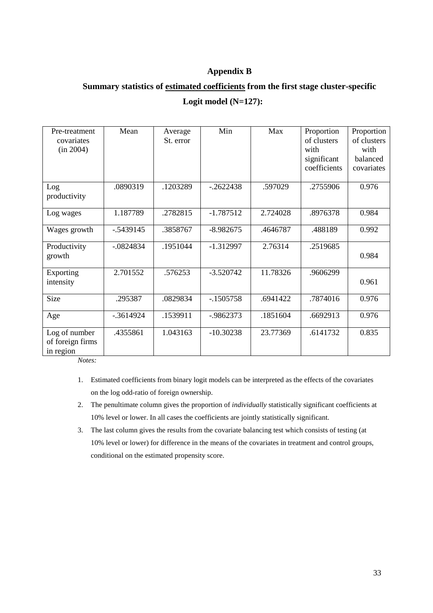### **Appendix B**

### **Summary statistics of estimated coefficients from the first stage cluster-specific**

### **Logit model (N=127):**

| Pre-treatment<br>covariates<br>(in 2004)       | Mean         | Average<br>St. error | Min          | Max      | Proportion<br>of clusters<br>with<br>significant<br>coefficients | Proportion<br>of clusters<br>with<br>balanced<br>covariates |
|------------------------------------------------|--------------|----------------------|--------------|----------|------------------------------------------------------------------|-------------------------------------------------------------|
| Log<br>productivity                            | .0890319     | .1203289             | $-.2622438$  | .597029  | .2755906                                                         | 0.976                                                       |
| Log wages                                      | 1.187789     | .2782815             | $-1.787512$  | 2.724028 | .8976378                                                         | 0.984                                                       |
| Wages growth                                   | $-0.5439145$ | .3858767             | $-8.982675$  | .4646787 | .488189                                                          | 0.992                                                       |
| Productivity<br>growth                         | $-0824834$   | .1951044             | $-1.312997$  | 2.76314  | .2519685                                                         | 0.984                                                       |
| Exporting<br>intensity                         | 2.701552     | .576253              | $-3.520742$  | 11.78326 | .9606299                                                         | 0.961                                                       |
| <b>Size</b>                                    | .295387      | .0829834             | $-1505758$   | .6941422 | .7874016                                                         | 0.976                                                       |
| Age                                            | $-0.3614924$ | .1539911             | $-0.9862373$ | .1851604 | .6692913                                                         | 0.976                                                       |
| Log of number<br>of foreign firms<br>in region | .4355861     | 1.043163             | $-10.30238$  | 23.77369 | .6141732                                                         | 0.835                                                       |

*Notes:*

- 1. Estimated coefficients from binary logit models can be interpreted as the effects of the covariates on the log odd-ratio of foreign ownership.
- 2. The penultimate column gives the proportion of *individually* statistically significant coefficients at 10% level or lower. In all cases the coefficients are jointly statistically significant.
- 3. The last column gives the results from the covariate balancing test which consists of testing (at 10% level or lower) for difference in the means of the covariates in treatment and control groups, conditional on the estimated propensity score.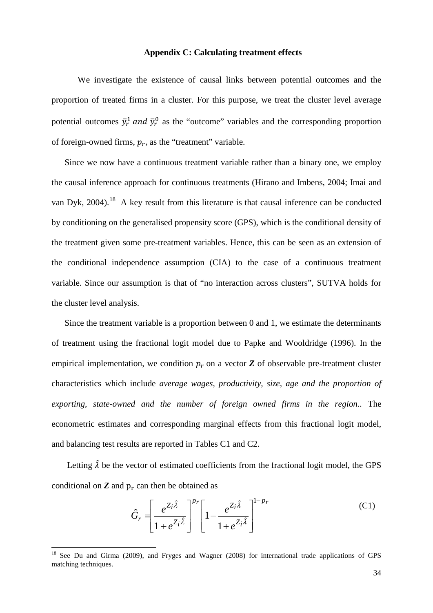#### **Appendix C: Calculating treatment effects**

We investigate the existence of causal links between potential outcomes and the proportion of treated firms in a cluster. For this purpose, we treat the cluster level average potential outcomes  $\bar{y}_r^1$  and  $\bar{y}_r^0$  as the "outcome" variables and the corresponding proportion of foreign-owned firms,  $p_r$ , as the "treatment" variable.

Since we now have a continuous treatment variable rather than a binary one, we employ the causal inference approach for continuous treatments (Hirano and Imbens, 2004; Imai and van Dyk, 2004).<sup>18</sup> A key result from this literature is that causal inference can be conducted by conditioning on the generalised propensity score (GPS), which is the conditional density of the treatment given some pre-treatment variables. Hence, this can be seen as an extension of the conditional independence assumption (CIA) to the case of a continuous treatment variable. Since our assumption is that of "no interaction across clusters", SUTVA holds for the cluster level analysis.

Since the treatment variable is a proportion between 0 and 1, we estimate the determinants of treatment using the fractional logit model due to Papke and Wooldridge (1996). In the empirical implementation, we condition  $p<sub>r</sub>$  on a vector **Z** of observable pre-treatment cluster characteristics which include *average wages, productivity, size, age and the proportion of exporting, state-owned and the number of foreign owned firms in the region.*. The econometric estimates and corresponding marginal effects from this fractional logit model, and balancing test results are reported in Tables C1 and C2.

Letting  $\hat{\lambda}$  be the vector of estimated coefficients from the fractional logit model, the GPS conditional on  $Z$  and  $p_r$  can then be obtained as

$$
\hat{G}_r = \left[\frac{e^{Z_i\hat{\lambda}}}{1 + e^{Z_i\hat{\lambda}}}\right]^{p_r} \left[1 - \frac{e^{Z_i\hat{\lambda}}}{1 + e^{Z_i\hat{\lambda}}}\right]^{1 - p_r}
$$
(C1)

<span id="page-35-0"></span><sup>&</sup>lt;sup>18</sup> See Du and Girma (2009), and Fryges and Wagner (2008) for international trade applications of GPS matching techniques.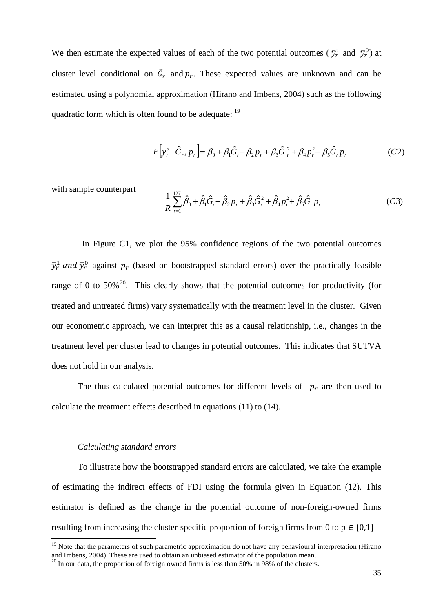We then estimate the expected values of each of the two potential outcomes ( $\bar{y}_r^1$  and  $\bar{y}_r^0$ ) at cluster level conditional on  $\hat{G}_r$  and  $p_r$ . These expected values are unknown and can be estimated using a polynomial approximation (Hirano and Imbens, 2004) such as the following quadratic form which is often found to be adequate: <sup>[19](#page-35-0)</sup>

$$
E[y_r^d \mid \hat{G}_r, p_r] = \beta_0 + \beta_1 \hat{G}_r + \beta_2 p_r + \beta_3 \hat{G}_r^2 + \beta_4 p_r^2 + \beta_5 \hat{G}_r p_r
$$
 (C2)

with sample counterpart

$$
\frac{1}{R} \sum_{r=1}^{127} \hat{\beta}_0 + \hat{\beta}_1 \hat{G}_r + \hat{\beta}_2 p_r + \hat{\beta}_3 \hat{G}_r^2 + \hat{\beta}_4 p_r^2 + \hat{\beta}_5 \hat{G}_r p_r \tag{C3}
$$

 In Figure C1, we plot the 95% confidence regions of the two potential outcomes  $\bar{y}_r^1$  and  $\bar{y}_r^0$  against  $p_r$  (based on bootstrapped standard errors) over the practically feasible range of 0 to 50% $^{20}$ . This clearly shows that the potential outcomes for productivity (for treated and untreated firms) vary systematically with the treatment level in the cluster. Given our econometric approach, we can interpret this as a causal relationship, i.e., changes in the treatment level per cluster lead to changes in potential outcomes. This indicates that SUTVA does not hold in our analysis.

The thus calculated potential outcomes for different levels of  $p<sub>r</sub>$  are then used to calculate the treatment effects described in equations (11) to (14).

#### *Calculating standard errors*

To illustrate how the bootstrapped standard errors are calculated, we take the example of estimating the indirect effects of FDI using the formula given in Equation (12). This estimator is defined as the change in the potential outcome of non-foreign-owned firms resulting from increasing the cluster-specific proportion of foreign firms from 0 to  $p \in \{0,1\}$ 

<sup>&</sup>lt;sup>19</sup> Note that the parameters of such parametric approximation do not have any behavioural interpretation (Hirano and Imbens, 2004). These are used to obtain an unbiased estimator of the population mean.

<span id="page-36-0"></span><sup>&</sup>lt;sup>20</sup> In our data, the proportion of foreign owned firms is less than 50% in  $98\%$  of the clusters.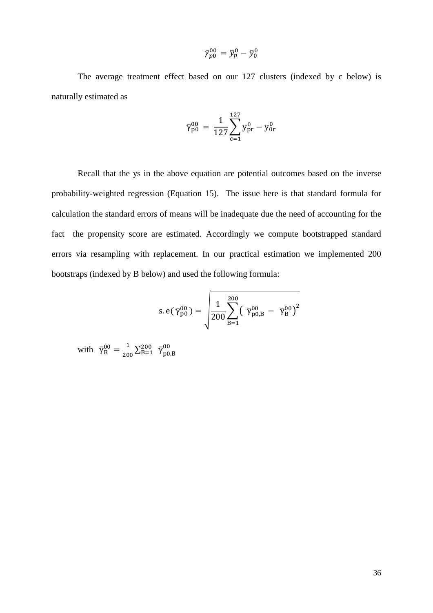$$
\bar{\gamma}_{p0}^{00} = \bar{y}_p^0 - \bar{y}_0^0
$$

The average treatment effect based on our 127 clusters (indexed by c below) is naturally estimated as

$$
\bar{\gamma}_{\rm p0}^{00} = \frac{1}{127} \sum_{\rm c=1}^{127} y_{\rm pr}^{0} - y_{\rm 0r}^{0}
$$

Recall that the ys in the above equation are potential outcomes based on the inverse probability-weighted regression (Equation 15). The issue here is that standard formula for calculation the standard errors of means will be inadequate due the need of accounting for the fact the propensity score are estimated. Accordingly we compute bootstrapped standard errors via resampling with replacement. In our practical estimation we implemented 200 bootstraps (indexed by B below) and used the following formula:

s. e(
$$
\bar{\gamma}_{p0}^{00}
$$
) =  $\sqrt{\frac{1}{200} \sum_{B=1}^{200} (\bar{\gamma}_{p0,B}^{00} - \bar{\gamma}_{B}^{00})^2}$ 

with  $\bar{\gamma}_{B}^{00} = \frac{1}{200} \sum_{B=1}^{200} \bar{\gamma}_{p0,B}^{00}$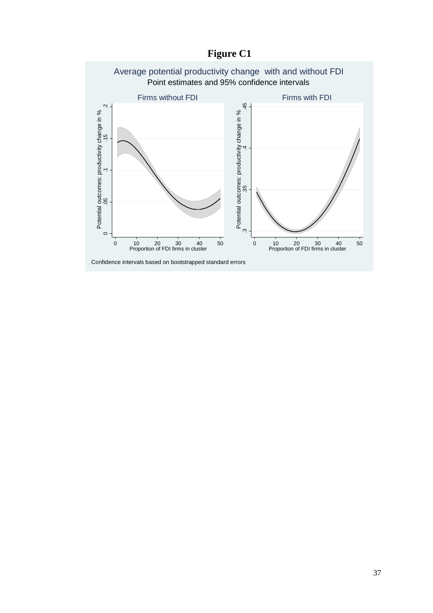

# **Figure C1**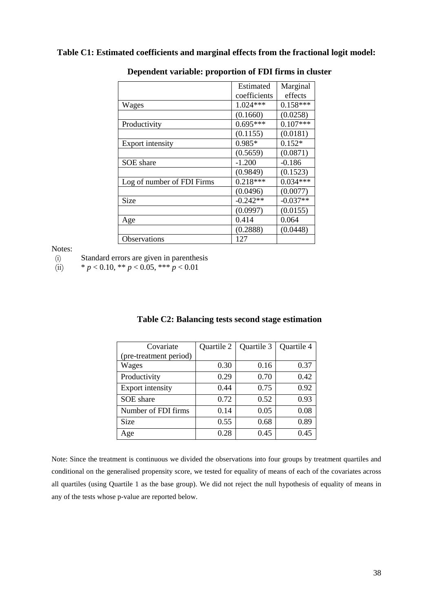### **Table C1: Estimated coefficients and marginal effects from the fractional logit model:**

|                            | Estimated    | Marginal   |
|----------------------------|--------------|------------|
|                            | coefficients | effects    |
| Wages                      | $1.024***$   | $0.158***$ |
|                            | (0.1660)     | (0.0258)   |
| Productivity               | $0.695***$   | $0.107***$ |
|                            | (0.1155)     | (0.0181)   |
| <b>Export intensity</b>    | $0.985*$     | $0.152*$   |
|                            | (0.5659)     | (0.0871)   |
| SOE share                  | $-1.200$     | $-0.186$   |
|                            | (0.9849)     | (0.1523)   |
| Log of number of FDI Firms | $0.218***$   | $0.034***$ |
|                            | (0.0496)     | (0.0077)   |
| Size                       | $-0.242**$   | $-0.037**$ |
|                            | (0.0997)     | (0.0155)   |
| Age                        | 0.414        | 0.064      |
|                            | (0.2888)     | (0.0448)   |
| <b>Observations</b>        | 127          |            |

#### **Dependent variable: proportion of FDI firms in cluster**

Notes:

(i) Standard errors are given in parenthesis

(ii)  $* p < 0.10, ** p < 0.05, *** p < 0.01$ 

| Covariate               | Quartile 2 | Quartile 3 | Quartile 4 |
|-------------------------|------------|------------|------------|
| (pre-treatment period)  |            |            |            |
| Wages                   | 0.30       | 0.16       | 0.37       |
| Productivity            | 0.29       | 0.70       | 0.42       |
| <b>Export intensity</b> | 0.44       | 0.75       | 0.92       |
| SOE share               | 0.72       | 0.52       | 0.93       |
| Number of FDI firms     | 0.14       | 0.05       | 0.08       |
| <b>Size</b>             | 0.55       | 0.68       | 0.89       |
| Age                     | 0.28       | 0.45       | 0.45       |

#### **Table C2: Balancing tests second stage estimation**

Note: Since the treatment is continuous we divided the observations into four groups by treatment quartiles and conditional on the generalised propensity score, we tested for equality of means of each of the covariates across all quartiles (using Quartile 1 as the base group). We did not reject the null hypothesis of equality of means in any of the tests whose p-value are reported below.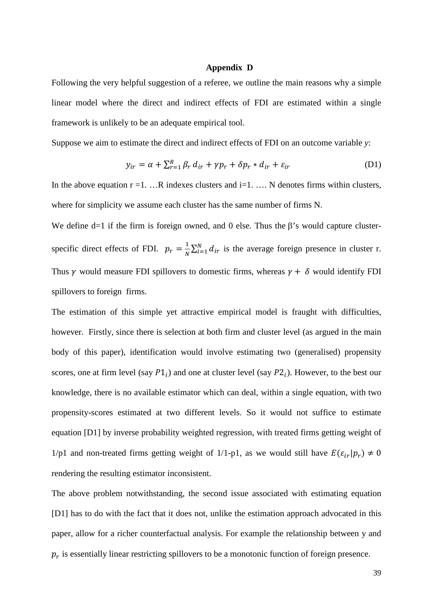#### **Appendix D**

Following the very helpful suggestion of a referee, we outline the main reasons why a simple linear model where the direct and indirect effects of FDI are estimated within a single framework is unlikely to be an adequate empirical tool.

Suppose we aim to estimate the direct and indirect effects of FDI on an outcome variable *y*:

$$
y_{ir} = \alpha + \sum_{r=1}^{R} \beta_r d_{ir} + \gamma p_r + \delta p_r * d_{ir} + \varepsilon_{ir}
$$
 (D1)

In the above equation  $r = 1$ . ...R indexes clusters and  $i = 1$ . ... N denotes firms within clusters, where for simplicity we assume each cluster has the same number of firms N.

We define d=1 if the firm is foreign owned, and 0 else. Thus the  $\beta$ 's would capture clusterspecific direct effects of FDI.  $p_r = \frac{1}{N} \sum_{i=1}^{N} d_{ir}$  is the average foreign presence in cluster r. Thus  $\gamma$  would measure FDI spillovers to domestic firms, whereas  $\gamma + \delta$  would identify FDI spillovers to foreign firms.

The estimation of this simple yet attractive empirical model is fraught with difficulties, however. Firstly, since there is selection at both firm and cluster level (as argued in the main body of this paper), identification would involve estimating two (generalised) propensity scores, one at firm level (say  $P1_i$ ) and one at cluster level (say  $P2_i$ ). However, to the best our knowledge, there is no available estimator which can deal, within a single equation, with two propensity-scores estimated at two different levels. So it would not suffice to estimate equation [D1] by inverse probability weighted regression, with treated firms getting weight of 1/p1 and non-treated firms getting weight of 1/1-p1, as we would still have  $E(\varepsilon_{ir} | p_r) \neq 0$ rendering the resulting estimator inconsistent.

The above problem notwithstanding, the second issue associated with estimating equation [D1] has to do with the fact that it does not, unlike the estimation approach advocated in this paper, allow for a richer counterfactual analysis. For example the relationship between y and  $p<sub>r</sub>$  is essentially linear restricting spillovers to be a monotonic function of foreign presence.